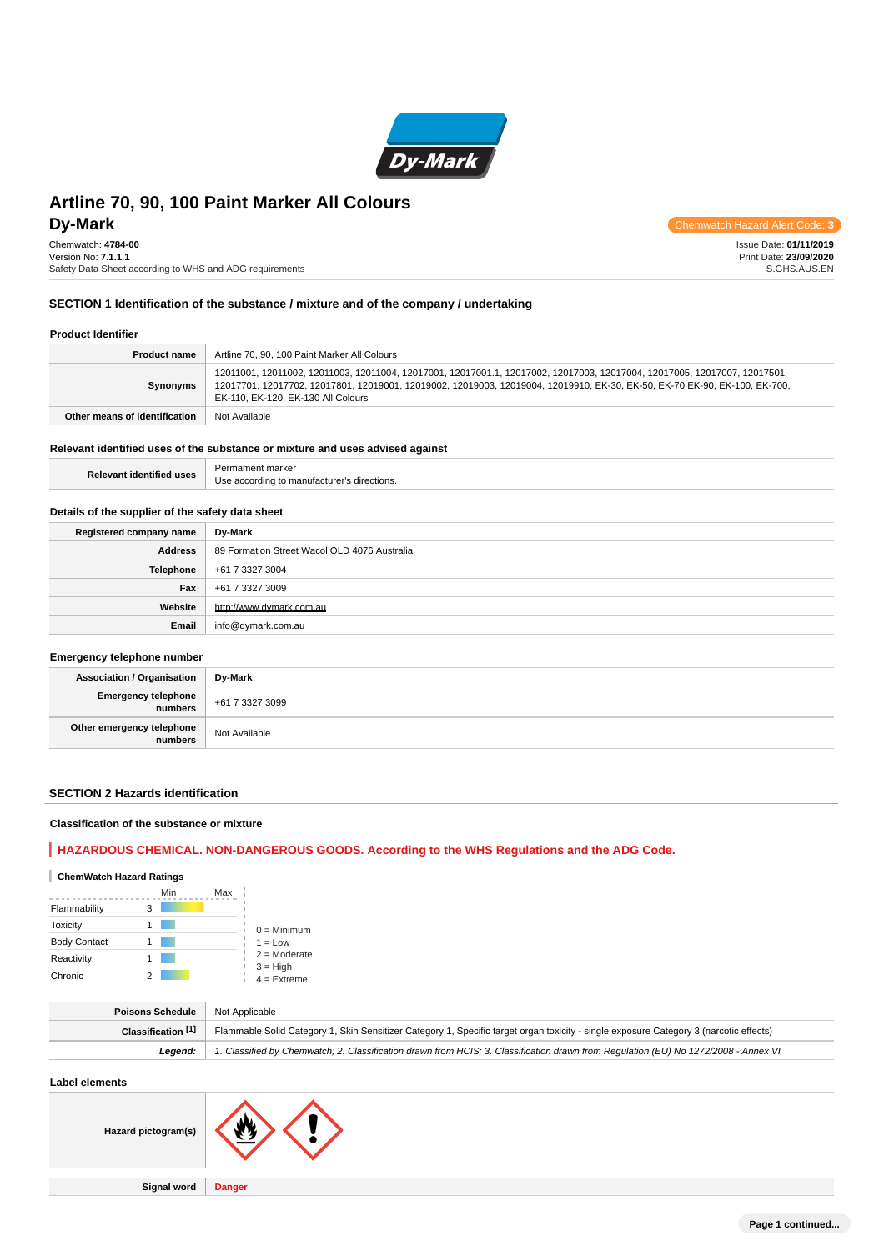

Chemwatch: **4784-00** Version No: **7.1.1.1** Safety Data Sheet according to WHS and ADG requirements

**DV-Mark** Chemwatch Hazard Alert Code: **3** 

Issue Date: **01/11/2019** Print Date: **23/09/2020** S.GHS.AUS.EN

#### **SECTION 1 Identification of the substance / mixture and of the company / undertaking**

#### **Product Identifier**

| <b>Product name</b>           | Artline 70, 90, 100 Paint Marker All Colours                                                                                                                                                                                                                                                  |
|-------------------------------|-----------------------------------------------------------------------------------------------------------------------------------------------------------------------------------------------------------------------------------------------------------------------------------------------|
| Synonyms                      | 12011001, 12011002, 12011003, 12011004, 12017001, 12017001.1, 12017002, 12017003, 12017004, 12017005, 12017007, 12017501,<br>12017701, 12017702, 12017801, 12019001, 12019002, 12019003, 12019004, 12019910; EK-30, EK-50, EK-70,EK-90, EK-100, EK-700,<br>EK-110, EK-120, EK-130 All Colours |
| Other means of identification | Not Available                                                                                                                                                                                                                                                                                 |

#### **Relevant identified uses of the substance or mixture and uses advised against**

| <b>Relevant identified uses</b>                  | Permament marker<br>Use according to manufacturer's directions. |  |  |
|--------------------------------------------------|-----------------------------------------------------------------|--|--|
| Details of the supplier of the safety data sheet |                                                                 |  |  |
| Registered company name                          | Dy-Mark                                                         |  |  |
| <b>Address</b>                                   | 89 Formation Street Wacol QLD 4076 Australia                    |  |  |
| Telephone                                        | +61 7 3327 3004                                                 |  |  |
| Fax                                              | +61 7 3327 3009                                                 |  |  |
| Website                                          | http://www.dymark.com.au                                        |  |  |
| Email                                            | info@dymark.com.au                                              |  |  |
| Emergency telephone number                       |                                                                 |  |  |
| <b>Association / Organisation</b>                | Dy-Mark                                                         |  |  |
| <b>Emergency telephone</b><br>numbers            | +61 7 3327 3099                                                 |  |  |
| Other emergency telephone<br>numbers             | Not Available                                                   |  |  |

#### **SECTION 2 Hazards identification**

#### **Classification of the substance or mixture**

## **HAZARDOUS CHEMICAL. NON-DANGEROUS GOODS. According to the WHS Regulations and the ADG Code.**

### **ChemWatch Hazard Ratings**

|                     | Min | Max |                             |
|---------------------|-----|-----|-----------------------------|
| Flammability        | 3   |     |                             |
| <b>Toxicity</b>     |     |     | $0 =$ Minimum               |
| <b>Body Contact</b> |     |     | $1 = Low$                   |
| Reactivity          |     |     | $2 =$ Moderate              |
| Chronic             |     |     | $3 = High$<br>$4 =$ Extreme |

| Poisons Schedule   | Not Applicable                                                                                                                         |
|--------------------|----------------------------------------------------------------------------------------------------------------------------------------|
| Classification [1] | Flammable Solid Category 1, Skin Sensitizer Category 1, Specific target organ toxicity - single exposure Category 3 (narcotic effects) |
| Leaend:            | 1. Classified by Chemwatch; 2. Classification drawn from HCIS; 3. Classification drawn from Requlation (EU) No 1272/2008 - Annex VI    |
|                    |                                                                                                                                        |

**Label elements**

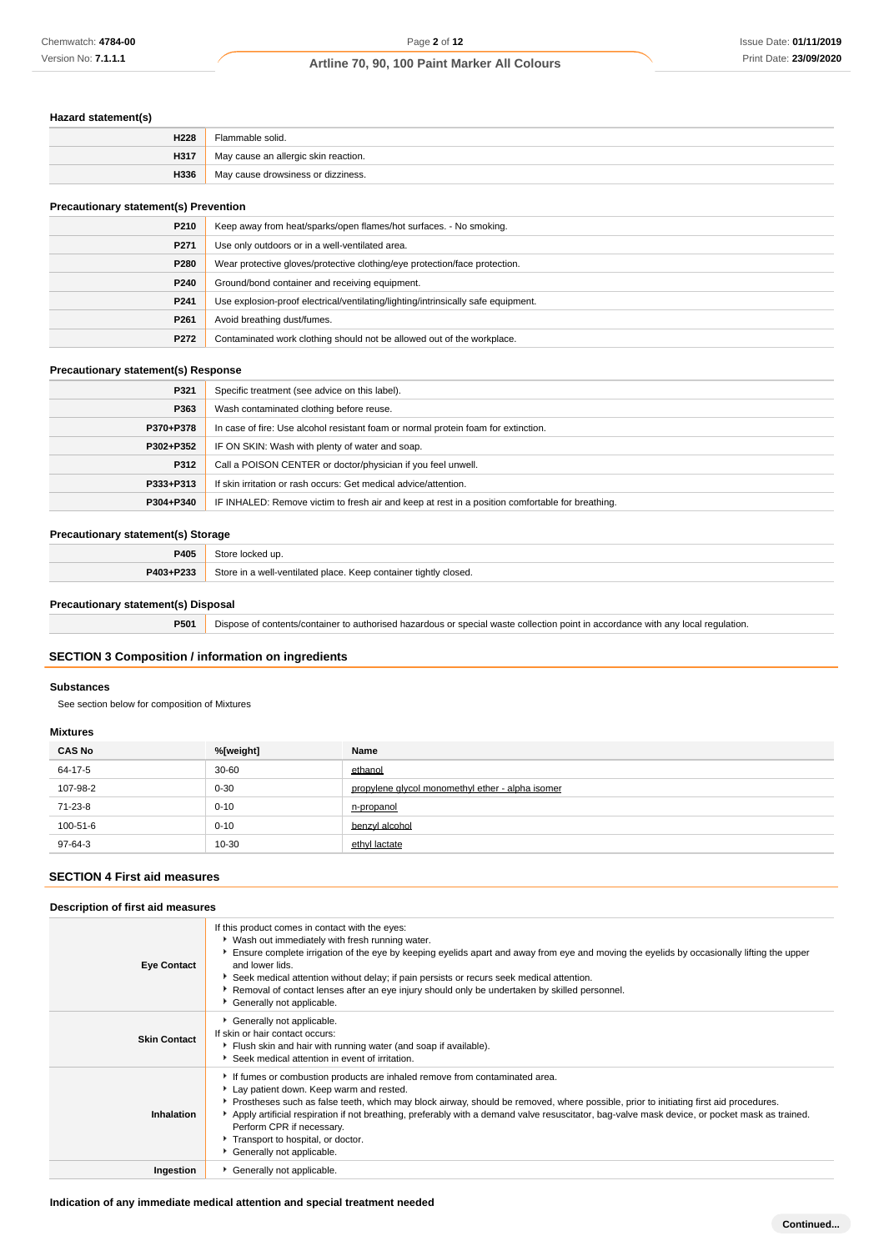## **Hazard statement(s)**

| H228 | Flammable solid.                     |
|------|--------------------------------------|
| H317 | May cause an allergic skin reaction. |
| H336 | May cause drowsiness or dizziness.   |

## **Precautionary statement(s) Prevention**

| P210             | Keep away from heat/sparks/open flames/hot surfaces. - No smoking.                |  |
|------------------|-----------------------------------------------------------------------------------|--|
| P <sub>271</sub> | Use only outdoors or in a well-ventilated area.                                   |  |
| P280             | Wear protective gloves/protective clothing/eye protection/face protection.        |  |
| P240             | Ground/bond container and receiving equipment.                                    |  |
| P <sub>241</sub> | Use explosion-proof electrical/ventilating/lighting/intrinsically safe equipment. |  |
| P <sub>261</sub> | Avoid breathing dust/fumes.                                                       |  |
| P272             | Contaminated work clothing should not be allowed out of the workplace.            |  |

#### **Precautionary statement(s) Response**

| Specific treatment (see advice on this label).                                                   |
|--------------------------------------------------------------------------------------------------|
| Wash contaminated clothing before reuse.                                                         |
| In case of fire: Use alcohol resistant foam or normal protein foam for extinction.               |
| IF ON SKIN: Wash with plenty of water and soap.                                                  |
| Call a POISON CENTER or doctor/physician if you feel unwell.                                     |
| If skin irritation or rash occurs: Get medical advice/attention.                                 |
| IF INHALED: Remove victim to fresh air and keep at rest in a position comfortable for breathing. |
|                                                                                                  |

#### **Precautionary statement(s) Storage**

| P405      | Store locked up.                                                 |
|-----------|------------------------------------------------------------------|
| P403+P233 | Store in a well-ventilated place. Keep container tightly closed. |

#### **Precautionary statement(s) Disposal**

**P501** Dispose of contents/container to authorised hazardous or special waste collection point in accordance with any local regulation.

### **SECTION 3 Composition / information on ingredients**

#### **Substances**

See section below for composition of Mixtures

#### **Mixtures**

| <b>CAS No</b> | %[weight] | Name                                             |
|---------------|-----------|--------------------------------------------------|
| 64-17-5       | $30 - 60$ | ethanol                                          |
| 107-98-2      | $0 - 30$  | propylene glycol monomethyl ether - alpha isomer |
| 71-23-8       | $0 - 10$  | n-propanol                                       |
| 100-51-6      | $0 - 10$  | benzyl alcohol                                   |
| 97-64-3       | 10-30     | ethyl lactate                                    |

## **SECTION 4 First aid measures**

| Description of first aid measures |                                                                                                                                                                                                                                                                                                                                                                                                                                                                                                                 |  |
|-----------------------------------|-----------------------------------------------------------------------------------------------------------------------------------------------------------------------------------------------------------------------------------------------------------------------------------------------------------------------------------------------------------------------------------------------------------------------------------------------------------------------------------------------------------------|--|
| <b>Eye Contact</b>                | If this product comes in contact with the eyes:<br>• Wash out immediately with fresh running water.<br>Ensure complete irrigation of the eye by keeping eyelids apart and away from eye and moving the eyelids by occasionally lifting the upper<br>and lower lids.<br>Seek medical attention without delay; if pain persists or recurs seek medical attention.<br>Removal of contact lenses after an eye injury should only be undertaken by skilled personnel.<br>Generally not applicable.                   |  |
| <b>Skin Contact</b>               | Generally not applicable.<br>If skin or hair contact occurs:<br>Flush skin and hair with running water (and soap if available).<br>Seek medical attention in event of irritation.                                                                                                                                                                                                                                                                                                                               |  |
| Inhalation                        | If fumes or combustion products are inhaled remove from contaminated area.<br>Lay patient down. Keep warm and rested.<br>▶ Prostheses such as false teeth, which may block airway, should be removed, where possible, prior to initiating first aid procedures.<br>Apply artificial respiration if not breathing, preferably with a demand valve resuscitator, bag-valve mask device, or pocket mask as trained.<br>Perform CPR if necessary.<br>Transport to hospital, or doctor.<br>Generally not applicable. |  |
| Ingestion                         | Generally not applicable.                                                                                                                                                                                                                                                                                                                                                                                                                                                                                       |  |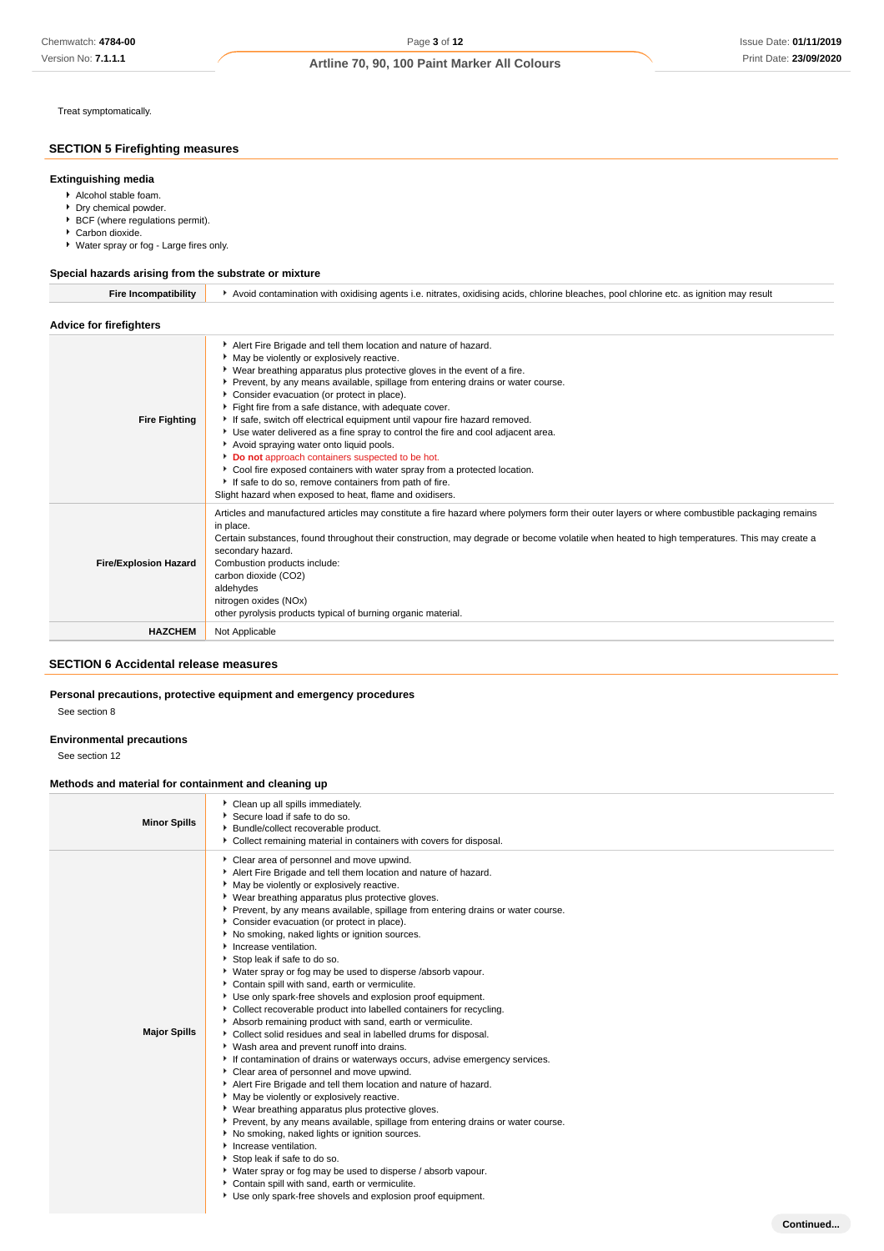Treat symptomatically.

### **SECTION 5 Firefighting measures**

#### **Extinguishing media**

- Alcohol stable foam.
- Dry chemical powder.
- ▶ BCF (where regulations permit).
- Carbon dioxide. Water spray or fog - Large fires only.
- 

#### **Special hazards arising from the substrate or mixture**

| <b>Fire Incompatibility</b>    | Avoid contamination with oxidising agents i.e. nitrates, oxidising acids, chlorine bleaches, pool chlorine etc. as ignition may result                                                                                                                                                                                                                                                                                                                                                                                                                                                                                                                                                                                                                                                                                                               |  |  |
|--------------------------------|------------------------------------------------------------------------------------------------------------------------------------------------------------------------------------------------------------------------------------------------------------------------------------------------------------------------------------------------------------------------------------------------------------------------------------------------------------------------------------------------------------------------------------------------------------------------------------------------------------------------------------------------------------------------------------------------------------------------------------------------------------------------------------------------------------------------------------------------------|--|--|
| <b>Advice for firefighters</b> |                                                                                                                                                                                                                                                                                                                                                                                                                                                                                                                                                                                                                                                                                                                                                                                                                                                      |  |  |
| <b>Fire Fighting</b>           | Alert Fire Brigade and tell them location and nature of hazard.<br>May be violently or explosively reactive.<br>• Wear breathing apparatus plus protective gloves in the event of a fire.<br>Prevent, by any means available, spillage from entering drains or water course.<br>Consider evacuation (or protect in place).<br>Fight fire from a safe distance, with adequate cover.<br>If safe, switch off electrical equipment until vapour fire hazard removed.<br>Use water delivered as a fine spray to control the fire and cool adjacent area.<br>Avoid spraying water onto liquid pools.<br>Do not approach containers suspected to be hot.<br>Cool fire exposed containers with water spray from a protected location.<br>If safe to do so, remove containers from path of fire.<br>Slight hazard when exposed to heat, flame and oxidisers. |  |  |
| <b>Fire/Explosion Hazard</b>   | Articles and manufactured articles may constitute a fire hazard where polymers form their outer layers or where combustible packaging remains<br>in place.<br>Certain substances, found throughout their construction, may degrade or become volatile when heated to high temperatures. This may create a<br>secondary hazard.<br>Combustion products include:<br>carbon dioxide (CO2)<br>aldehydes<br>nitrogen oxides (NOx)<br>other pyrolysis products typical of burning organic material.                                                                                                                                                                                                                                                                                                                                                        |  |  |
| <b>HAZCHEM</b>                 | Not Applicable                                                                                                                                                                                                                                                                                                                                                                                                                                                                                                                                                                                                                                                                                                                                                                                                                                       |  |  |

### **SECTION 6 Accidental release measures**

#### **Personal precautions, protective equipment and emergency procedures**

See section 8

#### **Environmental precautions**

See section 12

#### **Methods and material for containment and cleaning up**

| <b>Minor Spills</b> | Clean up all spills immediately.<br>Secure load if safe to do so.<br>Bundle/collect recoverable product.<br>• Collect remaining material in containers with covers for disposal.                                                                                                                                                                                                                                                                                                                                                                                                                                                                                                                                                                                                                                                                                                                                                                                                                                                                                                                                                                                                                                                                                                                                                                                                                                                                                                                                                                                                      |           |
|---------------------|---------------------------------------------------------------------------------------------------------------------------------------------------------------------------------------------------------------------------------------------------------------------------------------------------------------------------------------------------------------------------------------------------------------------------------------------------------------------------------------------------------------------------------------------------------------------------------------------------------------------------------------------------------------------------------------------------------------------------------------------------------------------------------------------------------------------------------------------------------------------------------------------------------------------------------------------------------------------------------------------------------------------------------------------------------------------------------------------------------------------------------------------------------------------------------------------------------------------------------------------------------------------------------------------------------------------------------------------------------------------------------------------------------------------------------------------------------------------------------------------------------------------------------------------------------------------------------------|-----------|
| <b>Major Spills</b> | Clear area of personnel and move upwind.<br>Alert Fire Brigade and tell them location and nature of hazard.<br>• May be violently or explosively reactive.<br>▶ Wear breathing apparatus plus protective gloves.<br>Prevent, by any means available, spillage from entering drains or water course.<br>Consider evacuation (or protect in place).<br>No smoking, naked lights or ignition sources.<br>Increase ventilation.<br>Stop leak if safe to do so.<br>• Water spray or fog may be used to disperse /absorb vapour.<br>Contain spill with sand, earth or vermiculite.<br>Use only spark-free shovels and explosion proof equipment.<br>• Collect recoverable product into labelled containers for recycling.<br>Absorb remaining product with sand, earth or vermiculite.<br>• Collect solid residues and seal in labelled drums for disposal.<br>* Wash area and prevent runoff into drains.<br>If contamination of drains or waterways occurs, advise emergency services.<br>Clear area of personnel and move upwind.<br>Alert Fire Brigade and tell them location and nature of hazard.<br>• May be violently or explosively reactive.<br>▶ Wear breathing apparatus plus protective gloves.<br>Prevent, by any means available, spillage from entering drains or water course.<br>▶ No smoking, naked lights or ignition sources.<br>Increase ventilation.<br>Stop leak if safe to do so.<br>• Water spray or fog may be used to disperse / absorb vapour.<br>Contain spill with sand, earth or vermiculite.<br>Use only spark-free shovels and explosion proof equipment. |           |
|                     |                                                                                                                                                                                                                                                                                                                                                                                                                                                                                                                                                                                                                                                                                                                                                                                                                                                                                                                                                                                                                                                                                                                                                                                                                                                                                                                                                                                                                                                                                                                                                                                       | Continued |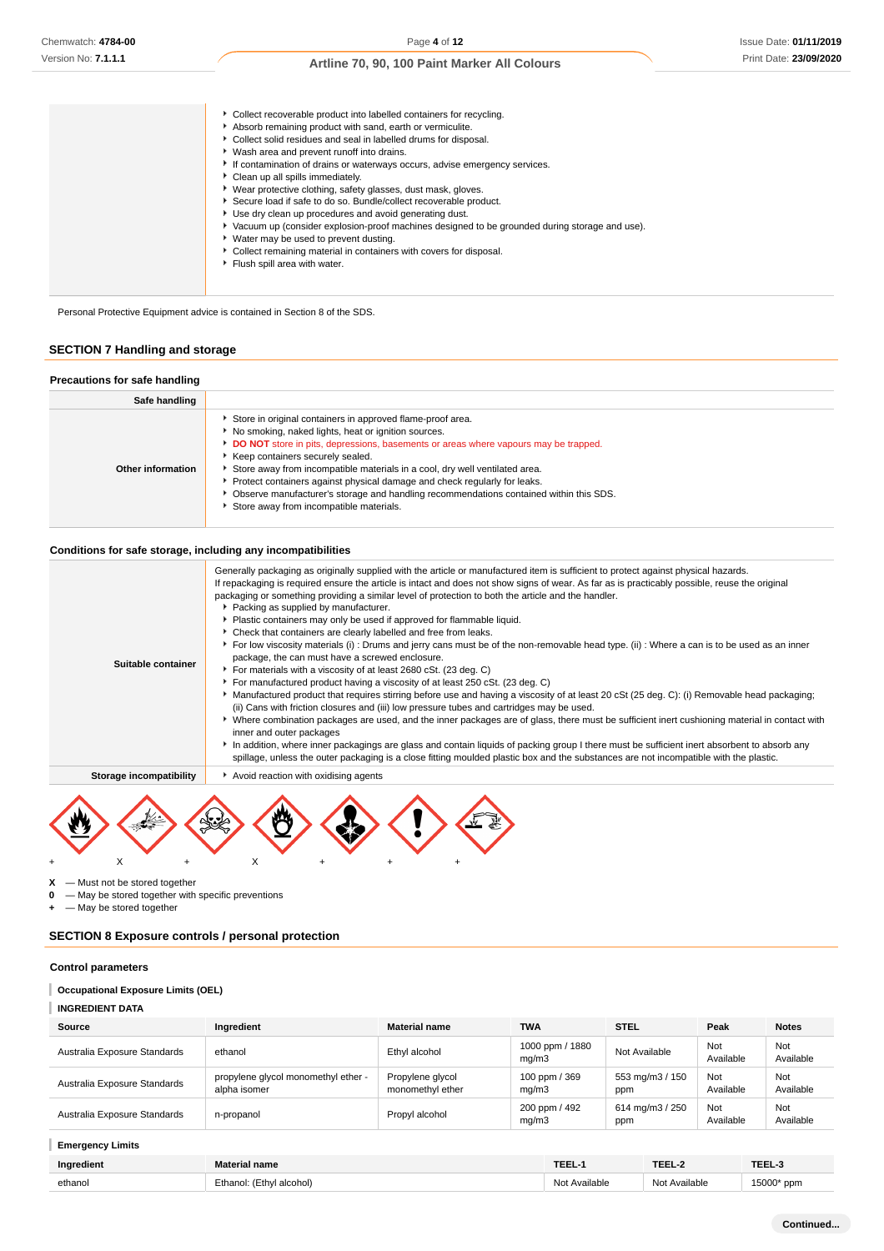| • Collect recoverable product into labelled containers for recycling.<br>Absorb remaining product with sand, earth or vermiculite.<br>• Collect solid residues and seal in labelled drums for disposal.<br>• Wash area and prevent runoff into drains.<br>If contamination of drains or waterways occurs, advise emergency services.<br>Clean up all spills immediately.<br>▶ Wear protective clothing, safety glasses, dust mask, gloves.<br>Secure load if safe to do so. Bundle/collect recoverable product.<br>Use dry clean up procedures and avoid generating dust.<br>Vacuum up (consider explosion-proof machines designed to be grounded during storage and use).<br>► Water may be used to prevent dusting.<br>Collect remaining material in containers with covers for disposal.<br>Flush spill area with water. |  |
|-----------------------------------------------------------------------------------------------------------------------------------------------------------------------------------------------------------------------------------------------------------------------------------------------------------------------------------------------------------------------------------------------------------------------------------------------------------------------------------------------------------------------------------------------------------------------------------------------------------------------------------------------------------------------------------------------------------------------------------------------------------------------------------------------------------------------------|--|
|-----------------------------------------------------------------------------------------------------------------------------------------------------------------------------------------------------------------------------------------------------------------------------------------------------------------------------------------------------------------------------------------------------------------------------------------------------------------------------------------------------------------------------------------------------------------------------------------------------------------------------------------------------------------------------------------------------------------------------------------------------------------------------------------------------------------------------|--|

Personal Protective Equipment advice is contained in Section 8 of the SDS.

## **SECTION 7 Handling and storage**

| Precautions for safe handling |                                                                                                                                                                                                                                                                                                                                                                                                                                                                                                                                               |
|-------------------------------|-----------------------------------------------------------------------------------------------------------------------------------------------------------------------------------------------------------------------------------------------------------------------------------------------------------------------------------------------------------------------------------------------------------------------------------------------------------------------------------------------------------------------------------------------|
| Safe handling                 |                                                                                                                                                                                                                                                                                                                                                                                                                                                                                                                                               |
| Other information             | Store in original containers in approved flame-proof area.<br>No smoking, naked lights, heat or ignition sources.<br>DO NOT store in pits, depressions, basements or areas where vapours may be trapped.<br>Keep containers securely sealed.<br>Store away from incompatible materials in a cool, dry well ventilated area.<br>Protect containers against physical damage and check regularly for leaks.<br>Observe manufacturer's storage and handling recommendations contained within this SDS.<br>Store away from incompatible materials. |

#### **Conditions for safe storage, including any incompatibilities**

| Suitable container      | Generally packaging as originally supplied with the article or manufactured item is sufficient to protect against physical hazards.<br>If repackaging is required ensure the article is intact and does not show signs of wear. As far as is practicably possible, reuse the original<br>packaging or something providing a similar level of protection to both the article and the handler.<br>▶ Packing as supplied by manufacturer.<br>• Plastic containers may only be used if approved for flammable liquid.<br>Check that containers are clearly labelled and free from leaks.<br>For low viscosity materials (i): Drums and jerry cans must be of the non-removable head type. (ii): Where a can is to be used as an inner<br>package, the can must have a screwed enclosure.<br>For materials with a viscosity of at least 2680 cSt. (23 deg. C)<br>For manufactured product having a viscosity of at least 250 cSt. (23 deg. C)<br>Manufactured product that requires stirring before use and having a viscosity of at least 20 cSt (25 deg. C): (i) Removable head packaging;<br>(ii) Cans with friction closures and (iii) low pressure tubes and cartridges may be used.<br>▶ Where combination packages are used, and the inner packages are of glass, there must be sufficient inert cushioning material in contact with<br>inner and outer packages<br>In addition, where inner packagings are glass and contain liquids of packing group I there must be sufficient inert absorbent to absorb any<br>spillage, unless the outer packaging is a close fitting moulded plastic box and the substances are not incompatible with the plastic. |
|-------------------------|------------------------------------------------------------------------------------------------------------------------------------------------------------------------------------------------------------------------------------------------------------------------------------------------------------------------------------------------------------------------------------------------------------------------------------------------------------------------------------------------------------------------------------------------------------------------------------------------------------------------------------------------------------------------------------------------------------------------------------------------------------------------------------------------------------------------------------------------------------------------------------------------------------------------------------------------------------------------------------------------------------------------------------------------------------------------------------------------------------------------------------------------------------------------------------------------------------------------------------------------------------------------------------------------------------------------------------------------------------------------------------------------------------------------------------------------------------------------------------------------------------------------------------------------------------------------------------------------------------------------------------------------------------|
| Storage incompatibility | Avoid reaction with oxidising agents                                                                                                                                                                                                                                                                                                                                                                                                                                                                                                                                                                                                                                                                                                                                                                                                                                                                                                                                                                                                                                                                                                                                                                                                                                                                                                                                                                                                                                                                                                                                                                                                                       |
|                         |                                                                                                                                                                                                                                                                                                                                                                                                                                                                                                                                                                                                                                                                                                                                                                                                                                                                                                                                                                                                                                                                                                                                                                                                                                                                                                                                                                                                                                                                                                                                                                                                                                                            |

+ X + X + + +

**X** — Must not be stored together

**0** — May be stored together with specific preventions

**+** — May be stored together

## **SECTION 8 Exposure controls / personal protection**

#### **Control parameters**

### **Occupational Exposure Limits (OEL)**

| <b>INGREDIENT DATA</b> |
|------------------------|
|------------------------|

| Source                       | Ingredient                                          | <b>Material name</b>                 | <b>TWA</b>               | <b>STEL</b>            | Peak             | <b>Notes</b>     |
|------------------------------|-----------------------------------------------------|--------------------------------------|--------------------------|------------------------|------------------|------------------|
| Australia Exposure Standards | ethanol                                             | Ethyl alcohol                        | 1000 ppm / 1880<br>mq/m3 | Not Available          | Not<br>Available | Not<br>Available |
| Australia Exposure Standards | propylene glycol monomethyl ether -<br>alpha isomer | Propylene glycol<br>monomethyl ether | 100 ppm / 369<br>mq/m3   | 553 mg/m3 / 150<br>ppm | Not<br>Available | Not<br>Available |
| Australia Exposure Standards | n-propanol                                          | Propyl alcohol                       | 200 ppm / 492<br>mq/m3   | 614 mg/m3 / 250<br>ppm | Not<br>Available | Not<br>Available |

**Emergency Limits**

| $-1$       | Material name               | <b>TEEL-</b>          | ---                                 | TEEL-5     |
|------------|-----------------------------|-----------------------|-------------------------------------|------------|
| Ingredient |                             |                       | and the contract of the contract of |            |
| ethanol    | Ethanol:<br>′Ethvl alcohol) | Available<br>Not<br>. | Available                           | 15000* ppm |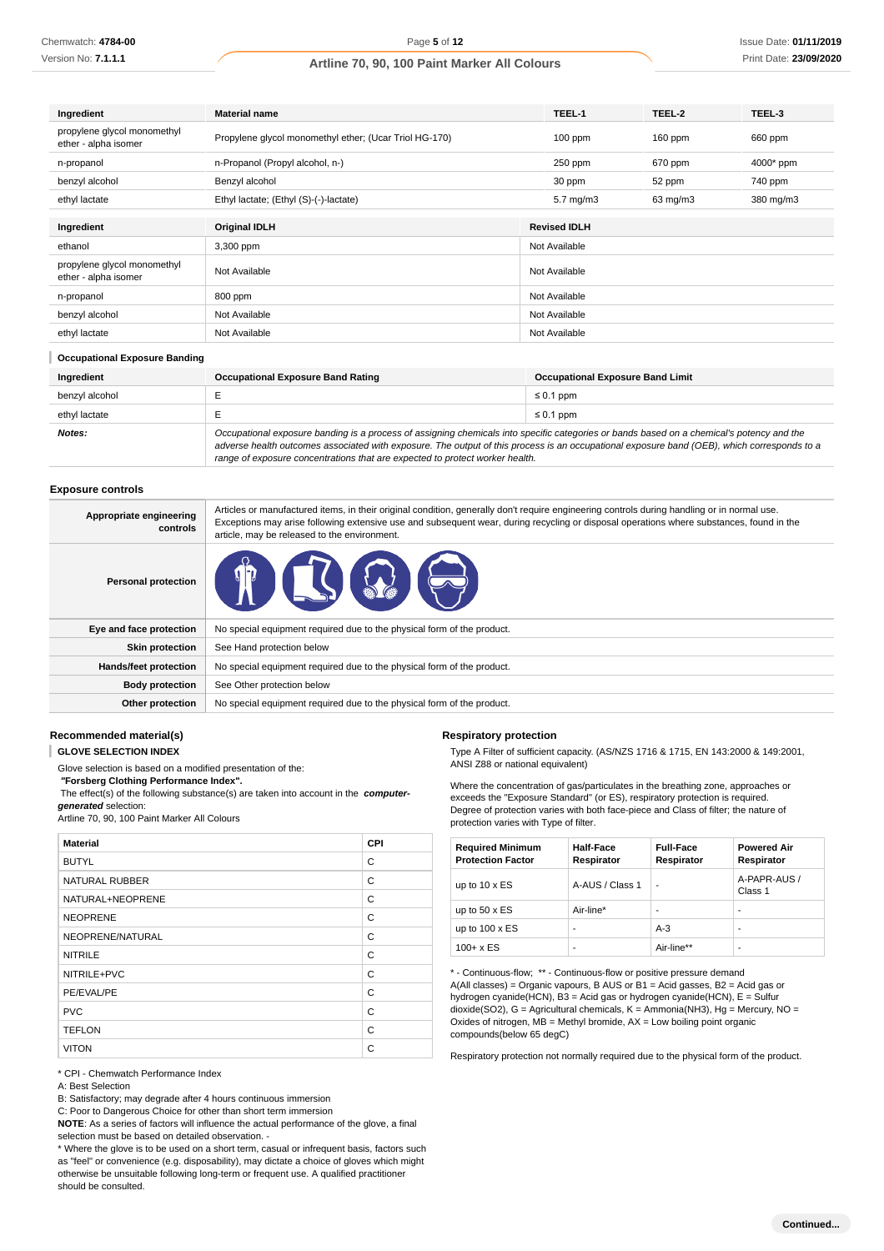Issue Date: **01/11/2019** Print Date: **23/09/2020**

### **Artline 70, 90, 100 Paint Marker All Colours**

| Ingredient                                          | <b>Material name</b>                                   |  | TEEL-1               | TEEL-2            | TEEL-3      |
|-----------------------------------------------------|--------------------------------------------------------|--|----------------------|-------------------|-------------|
| propylene glycol monomethyl<br>ether - alpha isomer | Propylene glycol monomethyl ether; (Ucar Triol HG-170) |  | $100$ ppm            | $160$ ppm         | 660 ppm     |
| n-propanol                                          | n-Propanol (Propyl alcohol, n-)                        |  | 250 ppm              | 670 ppm           | $4000*$ ppm |
| benzyl alcohol                                      | Benzyl alcohol                                         |  | 30 ppm               | 52 ppm            | 740 ppm     |
| ethyl lactate                                       | Ethyl lactate; (Ethyl (S)-(-)-lactate)                 |  | $5.7 \text{ mg/m}$ 3 | $63 \text{ mg/m}$ | 380 mg/m3   |
| Ingredient                                          | <b>Original IDLH</b>                                   |  | <b>Revised IDLH</b>  |                   |             |
|                                                     |                                                        |  |                      |                   |             |
| ethanol                                             | 3,300 ppm                                              |  | Not Available        |                   |             |
| propylene glycol monomethyl<br>ether - alpha isomer | Not Available                                          |  | Not Available        |                   |             |
| n-propanol                                          | 800 ppm                                                |  | Not Available        |                   |             |
| benzyl alcohol                                      | Not Available                                          |  | Not Available        |                   |             |
| ethyl lactate                                       | Not Available                                          |  | Not Available        |                   |             |

#### **Occupational Exposure Banding**

| Ingredient     | <b>Occupational Exposure Band Rating</b>                                                                                                                                                                                                                                                 | <b>Occupational Exposure Band Limit</b> |  |
|----------------|------------------------------------------------------------------------------------------------------------------------------------------------------------------------------------------------------------------------------------------------------------------------------------------|-----------------------------------------|--|
| benzvl alcohol |                                                                                                                                                                                                                                                                                          | $\leq 0.1$ ppm                          |  |
| ethyl lactate  |                                                                                                                                                                                                                                                                                          | $\leq 0.1$ ppm                          |  |
| Notes:         | Occupational exposure banding is a process of assigning chemicals into specific categories or bands based on a chemical's potency and the<br>adverse health outcomes associated with exposure. The output of this process is an occupational exposure band (OEB), which corresponds to a |                                         |  |

range of exposure concentrations that are expected to protect worker health.

#### **Exposure controls**

| Appropriate engineering<br>controls | Articles or manufactured items, in their original condition, generally don't require engineering controls during handling or in normal use.<br>Exceptions may arise following extensive use and subsequent wear, during recycling or disposal operations where substances, found in the<br>article, may be released to the environment. |
|-------------------------------------|-----------------------------------------------------------------------------------------------------------------------------------------------------------------------------------------------------------------------------------------------------------------------------------------------------------------------------------------|
| <b>Personal protection</b>          | $\mathbb{P} \left[ \left[ \left[ \left[ \left[ \right] \right] \right] \right] \right] \right]$                                                                                                                                                                                                                                         |
| Eye and face protection             | No special equipment required due to the physical form of the product.                                                                                                                                                                                                                                                                  |
| <b>Skin protection</b>              | See Hand protection below                                                                                                                                                                                                                                                                                                               |
| Hands/feet protection               | No special equipment required due to the physical form of the product.                                                                                                                                                                                                                                                                  |
| <b>Body protection</b>              | See Other protection below                                                                                                                                                                                                                                                                                                              |
| Other protection                    | No special equipment required due to the physical form of the product.                                                                                                                                                                                                                                                                  |

#### **Recommended material(s)**

I **GLOVE SELECTION INDEX**

**generated** selection:

Glove selection is based on a modified presentation of the:  **"Forsberg Clothing Performance Index".**

Artline 70, 90, 100 Paint Marker All Colours

The effect(s) of the following substance(s) are taken into account in the **computer-**

**Material CPI** BUTYL CONTROL CONTROL CONTROL CONTROL CONTROL CONTROL CONTROL CONTROL CONTROL CONTROL CONTROL CONTROL CONTROL CONTROL CONTROL CONTROL CONTROL CONTROL CONTROL CONTROL CONTROL CONTROL CONTROL CONTROL CONTROL CONTROL CONTROL NATURAL RUBBER COMPANY OF THE SERIES OF THE SERIES OF THE SERIES OF THE SERIES OF THE SERIES OF THE SERIES OF THE SERIES OF THE SERIES OF THE SERIES OF THE SERIES OF THE SERIES OF THE SERIES OF THE SERIES OF THE SERIES OF NATURAL+NEOPRENE C NEOPRENE C NEOPRENE/NATURAL C NITRILE COMMUNIST COMMUNIST COMMUNIST COMMUNIST COMMUNIST COMMUNIST COMMUNIST COMMUNIST COMMUNIST COMMUNIST COMMUNIST COMMUNIST COMMUNIST COMMUNIST COMMUNIST COMMUNIST COMMUNIST COMMUNIST COMMUNIST COMMUNIST COMMUNIST COMM NITRILE+PVC C PE/EVAL/PE C PVC CONTROL CONTROL CONTROL CONTROL CONTROL CONTROL CONTROL CONTROL CONTROL CONTROL CONTROL CONTROL CONTROL CONTROL CONTROL CONTROL CONTROL CONTROL CONTROL CONTROL CONTROL CONTROL CONTROL CONTROL CONTROL CONTROL CONTROL CO TEFLON C VITON C

## **Respiratory protection**

Type A Filter of sufficient capacity. (AS/NZS 1716 & 1715, EN 143:2000 & 149:2001, ANSI Z88 or national equivalent)

Where the concentration of gas/particulates in the breathing zone, approaches or exceeds the "Exposure Standard" (or ES), respiratory protection is required. Degree of protection varies with both face-piece and Class of filter; the nature of protection varies with Type of filter.

| <b>Required Minimum</b><br><b>Protection Factor</b> | <b>Half-Face</b><br>Respirator | <b>Full-Face</b><br>Respirator | <b>Powered Air</b><br>Respirator |
|-----------------------------------------------------|--------------------------------|--------------------------------|----------------------------------|
| up to $10 \times ES$                                | A-AUS / Class 1                |                                | A-PAPR-AUS /<br>Class 1          |
| up to $50 \times ES$                                | Air-line*                      |                                |                                  |
| up to $100 \times ES$                               | ۰                              | $A-3$                          |                                  |
| $100 + x ES$                                        | ۰                              | Air-line**                     | ۰                                |

\* - Continuous-flow; \*\* - Continuous-flow or positive pressure demand A(All classes) = Organic vapours, B AUS or B1 = Acid gasses, B2 = Acid gas or hydrogen cyanide(HCN), B3 = Acid gas or hydrogen cyanide(HCN), E = Sulfur dioxide(SO2), G = Agricultural chemicals, K = Ammonia(NH3), Hg = Mercury, NO = Oxides of nitrogen,  $MB =$  Methyl bromide,  $AX =$  Low boiling point organic compounds(below 65 degC)

Respiratory protection not normally required due to the physical form of the product.

\* CPI - Chemwatch Performance Index

A: Best Selection

B: Satisfactory; may degrade after 4 hours continuous immersion

C: Poor to Dangerous Choice for other than short term immersion

**NOTE**: As a series of factors will influence the actual performance of the glove, a final selection must be based on detailed observation. -

\* Where the glove is to be used on a short term, casual or infrequent basis, factors such as "feel" or convenience (e.g. disposability), may dictate a choice of gloves which might otherwise be unsuitable following long-term or frequent use. A qualified practitioner should be consulted.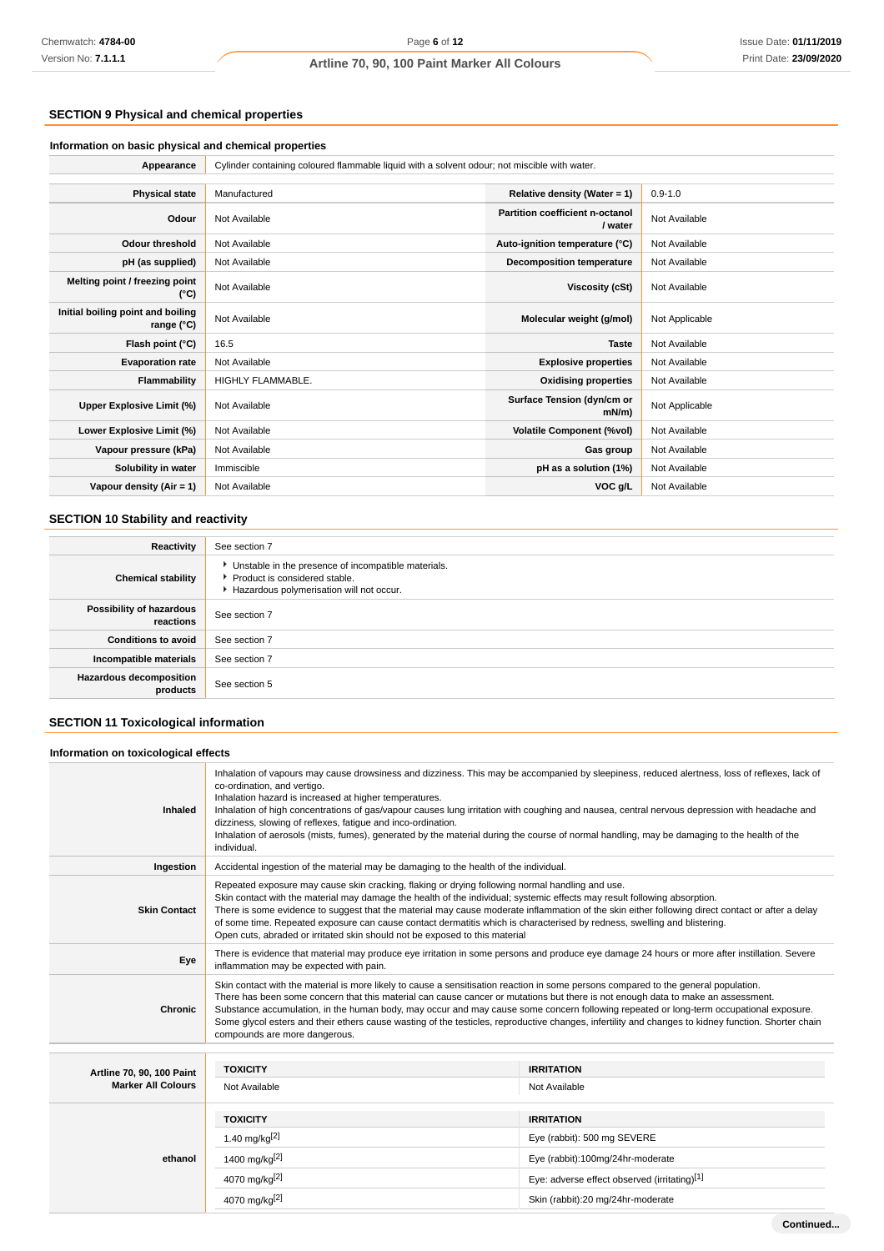#### **SECTION 9 Physical and chemical properties**

#### **Information on basic physical and chemical properties**

| Appearance                                      | Cylinder containing coloured flammable liquid with a solvent odour; not miscible with water. |                                            |                |  |
|-------------------------------------------------|----------------------------------------------------------------------------------------------|--------------------------------------------|----------------|--|
|                                                 |                                                                                              |                                            |                |  |
| <b>Physical state</b>                           | Manufactured                                                                                 | Relative density (Water = $1$ )            | $0.9 - 1.0$    |  |
| Odour                                           | Not Available                                                                                | Partition coefficient n-octanol<br>/ water | Not Available  |  |
| <b>Odour threshold</b>                          | Not Available                                                                                | Auto-ignition temperature (°C)             | Not Available  |  |
| pH (as supplied)                                | Not Available                                                                                | <b>Decomposition temperature</b>           | Not Available  |  |
| Melting point / freezing point<br>(°C)          | Not Available                                                                                | <b>Viscosity (cSt)</b>                     | Not Available  |  |
| Initial boiling point and boiling<br>range (°C) | Not Available                                                                                | Molecular weight (g/mol)                   | Not Applicable |  |
| Flash point (°C)                                | 16.5                                                                                         | <b>Taste</b>                               | Not Available  |  |
| <b>Evaporation rate</b>                         | Not Available                                                                                | <b>Explosive properties</b>                | Not Available  |  |
| Flammability                                    | HIGHLY FLAMMABLE.                                                                            | <b>Oxidising properties</b>                | Not Available  |  |
| Upper Explosive Limit (%)                       | Not Available                                                                                | Surface Tension (dyn/cm or<br>$mN/m$ )     | Not Applicable |  |
| Lower Explosive Limit (%)                       | Not Available                                                                                | <b>Volatile Component (%vol)</b>           | Not Available  |  |
| Vapour pressure (kPa)                           | Not Available                                                                                | Gas group                                  | Not Available  |  |
| Solubility in water                             | Immiscible                                                                                   | pH as a solution (1%)                      | Not Available  |  |
| Vapour density (Air = 1)                        | Not Available                                                                                | VOC g/L                                    | Not Available  |  |

#### **SECTION 10 Stability and reactivity**

| Reactivity                                 | See section 7                                                                                                                        |
|--------------------------------------------|--------------------------------------------------------------------------------------------------------------------------------------|
| <b>Chemical stability</b>                  | • Unstable in the presence of incompatible materials.<br>▶ Product is considered stable.<br>Hazardous polymerisation will not occur. |
| Possibility of hazardous<br>reactions      | See section 7                                                                                                                        |
| <b>Conditions to avoid</b>                 | See section 7                                                                                                                        |
| Incompatible materials                     | See section 7                                                                                                                        |
| <b>Hazardous decomposition</b><br>products | See section 5                                                                                                                        |

### **SECTION 11 Toxicological information**

#### **Information on toxicological effects Inhaled** Inhalation of vapours may cause drowsiness and dizziness. This may be accompanied by sleepiness, reduced alertness, loss of reflexes, lack of co-ordination, and vertigo. Inhalation hazard is increased at higher temperatures. Inhalation of high concentrations of gas/vapour causes lung irritation with coughing and nausea, central nervous depression with headache and dizziness, slowing of reflexes, fatigue and inco-ordination. Inhalation of aerosols (mists, fumes), generated by the material during the course of normal handling, may be damaging to the health of the individual. **Ingestion** Accidental ingestion of the material may be damaging to the health of the individual. **Skin Contact** Repeated exposure may cause skin cracking, flaking or drying following normal handling and use. Skin contact with the material may damage the health of the individual; systemic effects may result following absorption. There is some evidence to suggest that the material may cause moderate inflammation of the skin either following direct contact or after a delay of some time. Repeated exposure can cause contact dermatitis which is characterised by redness, swelling and blistering. Open cuts, abraded or irritated skin should not be exposed to this material **Eye** There is evidence that material may produce eye irritation in some persons and produce eye damage 24 hours or more after instillation. Severe inflammation may be expected with pain. **Chronic** Skin contact with the material is more likely to cause a sensitisation reaction in some persons compared to the general population. There has been some concern that this material can cause cancer or mutations but there is not enough data to make an assessment. Substance accumulation, in the human body, may occur and may cause some concern following repeated or long-term occupational exposure. Some glycol esters and their ethers cause wasting of the testicles, reproductive changes, infertility and changes to kidney function. Shorter chain compounds are more dangerous. **Artline 70, 90, 100 Paint Marker All Colours TOXICITY IRRITATION** Not Available Not Available **ethanol TOXICITY IRRITATION** 1.40 mg/kg<sup>[2]</sup> eye (rabbit): 500 mg SEVERE 1400 mg/kg[2] Eye (rabbit):100mg/24hr-moderate 4070 mg/kg<sup>[2]</sup> exercise the contract of the contract of the contract of the contract of the contract of the contract of the contract of the contract of the contract of the contract of the contract of the contract of the c

4070 mg/kg[2] Skin (rabbit):20 mg/24hr-moderate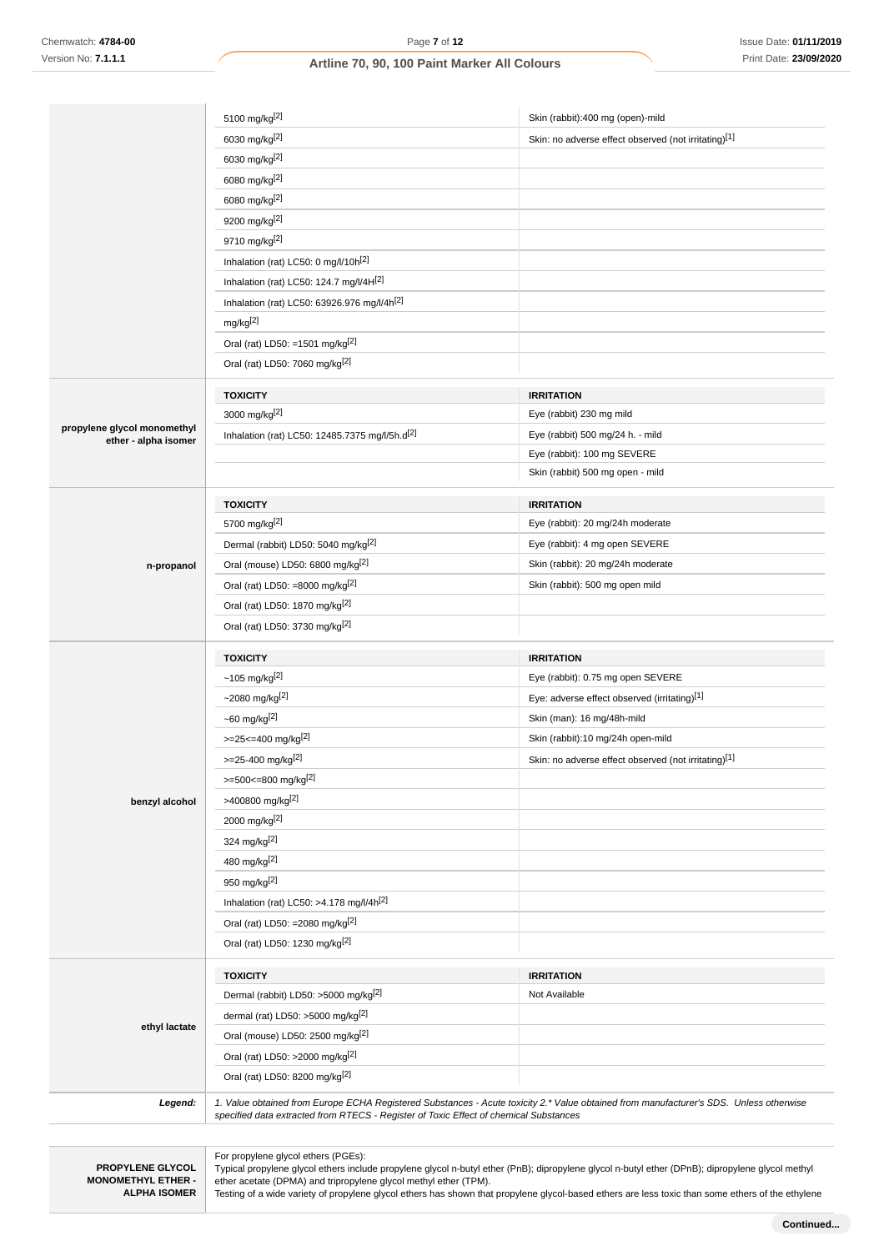|                                                     | 5100 mg/kg <sup>[2]</sup>                                                             | Skin (rabbit):400 mg (open)-mild                                                                                                       |
|-----------------------------------------------------|---------------------------------------------------------------------------------------|----------------------------------------------------------------------------------------------------------------------------------------|
|                                                     | 6030 mg/kg[2]                                                                         | Skin: no adverse effect observed (not irritating)[1]                                                                                   |
|                                                     | 6030 mg/kg <sup>[2]</sup>                                                             |                                                                                                                                        |
|                                                     | 6080 mg/kg <sup>[2]</sup>                                                             |                                                                                                                                        |
|                                                     | 6080 mg/kg[2]                                                                         |                                                                                                                                        |
|                                                     | 9200 mg/kg <sup>[2]</sup>                                                             |                                                                                                                                        |
|                                                     | 9710 mg/kg <sup>[2]</sup>                                                             |                                                                                                                                        |
|                                                     | Inhalation (rat) LC50: 0 mg/l/10h <sup>[2]</sup>                                      |                                                                                                                                        |
|                                                     | Inhalation (rat) LC50: 124.7 mg/l/4H[2]                                               |                                                                                                                                        |
|                                                     | Inhalation (rat) LC50: 63926.976 mg/l/4h <sup>[2]</sup>                               |                                                                                                                                        |
|                                                     | mg/kg <sup>[2]</sup>                                                                  |                                                                                                                                        |
|                                                     | Oral (rat) LD50: =1501 mg/kg <sup>[2]</sup>                                           |                                                                                                                                        |
|                                                     | Oral (rat) LD50: 7060 mg/kg <sup>[2]</sup>                                            |                                                                                                                                        |
|                                                     |                                                                                       |                                                                                                                                        |
|                                                     | <b>TOXICITY</b>                                                                       | <b>IRRITATION</b>                                                                                                                      |
|                                                     | 3000 mg/kg[2]                                                                         | Eye (rabbit) 230 mg mild                                                                                                               |
| propylene glycol monomethyl<br>ether - alpha isomer | Inhalation (rat) LC50: 12485.7375 mg/l/5h.d <sup>[2]</sup>                            | Eye (rabbit) 500 mg/24 h. - mild                                                                                                       |
|                                                     |                                                                                       | Eye (rabbit): 100 mg SEVERE                                                                                                            |
|                                                     |                                                                                       | Skin (rabbit) 500 mg open - mild                                                                                                       |
|                                                     | <b>TOXICITY</b>                                                                       | <b>IRRITATION</b>                                                                                                                      |
|                                                     | 5700 mg/kg[2]                                                                         | Eye (rabbit): 20 mg/24h moderate                                                                                                       |
|                                                     | Dermal (rabbit) LD50: 5040 mg/kg <sup>[2]</sup>                                       | Eye (rabbit): 4 mg open SEVERE                                                                                                         |
|                                                     | Oral (mouse) LD50: 6800 mg/kg <sup>[2]</sup>                                          | Skin (rabbit): 20 mg/24h moderate                                                                                                      |
| n-propanol                                          | Oral (rat) LD50: =8000 mg/kg $[2]$                                                    | Skin (rabbit): 500 mg open mild                                                                                                        |
|                                                     | Oral (rat) LD50: 1870 mg/kg <sup>[2]</sup>                                            |                                                                                                                                        |
|                                                     |                                                                                       |                                                                                                                                        |
|                                                     | Oral (rat) LD50: 3730 mg/kg <sup>[2]</sup>                                            |                                                                                                                                        |
|                                                     | <b>TOXICITY</b>                                                                       | <b>IRRITATION</b>                                                                                                                      |
|                                                     | $~105 \, \text{mg/kg}^{[2]}$                                                          | Eye (rabbit): 0.75 mg open SEVERE                                                                                                      |
|                                                     | ~2080 mg/kg $[2]$                                                                     | Eye: adverse effect observed (irritating)[1]                                                                                           |
|                                                     | $~50$ mg/kg <sup>[2]</sup>                                                            | Skin (man): 16 mg/48h-mild                                                                                                             |
|                                                     | $>=25<=400$ mg/kg <sup>[2]</sup>                                                      | Skin (rabbit):10 mg/24h open-mild                                                                                                      |
|                                                     | >=25-400 mg/kg[2]                                                                     | Skin: no adverse effect observed (not irritating)[1]                                                                                   |
|                                                     | >=500<=800 mg/kg[2]                                                                   |                                                                                                                                        |
| benzyl alcohol                                      | >400800 mg/kg <sup>[2]</sup>                                                          |                                                                                                                                        |
|                                                     | 2000 mg/kg[2]                                                                         |                                                                                                                                        |
|                                                     | 324 mg/kg <sup>[2]</sup>                                                              |                                                                                                                                        |
|                                                     | 480 mg/kg[2]                                                                          |                                                                                                                                        |
|                                                     | 950 mg/kg <sup>[2]</sup>                                                              |                                                                                                                                        |
|                                                     | Inhalation (rat) LC50: >4.178 mg/l/4h[2]                                              |                                                                                                                                        |
|                                                     | Oral (rat) LD50: = 2080 mg/kg <sup>[2]</sup>                                          |                                                                                                                                        |
|                                                     | Oral (rat) LD50: 1230 mg/kg <sup>[2]</sup>                                            |                                                                                                                                        |
|                                                     |                                                                                       |                                                                                                                                        |
|                                                     | <b>TOXICITY</b>                                                                       | <b>IRRITATION</b>                                                                                                                      |
|                                                     | Dermal (rabbit) LD50: >5000 mg/kg <sup>[2]</sup>                                      | Not Available                                                                                                                          |
|                                                     | dermal (rat) LD50: >5000 mg/kg <sup>[2]</sup>                                         |                                                                                                                                        |
| ethyl lactate                                       | Oral (mouse) LD50: 2500 mg/kg <sup>[2]</sup>                                          |                                                                                                                                        |
|                                                     | Oral (rat) LD50: >2000 mg/kg[2]                                                       |                                                                                                                                        |
|                                                     | Oral (rat) LD50: 8200 mg/kg <sup>[2]</sup>                                            |                                                                                                                                        |
| Legend:                                             |                                                                                       | 1. Value obtained from Europe ECHA Registered Substances - Acute toxicity 2.* Value obtained from manufacturer's SDS. Unless otherwise |
|                                                     | specified data extracted from RTECS - Register of Toxic Effect of chemical Substances |                                                                                                                                        |
|                                                     |                                                                                       |                                                                                                                                        |
|                                                     | For propylene glycol ethers (PGEs):                                                   |                                                                                                                                        |
|                                                     |                                                                                       |                                                                                                                                        |

**PROPYLENE GLYCOL MONOMETHYL ETHER - ALPHA ISOMER**

Typical propylene glycol ethers include propylene glycol n-butyl ether (PnB); dipropylene glycol n-butyl ether (DPnB); dipropylene glycol methyl ether acetate (DPMA) and tripropylene glycol methyl ether (TPM).

Testing of a wide variety of propylene glycol ethers has shown that propylene glycol-based ethers are less toxic than some ethers of the ethylene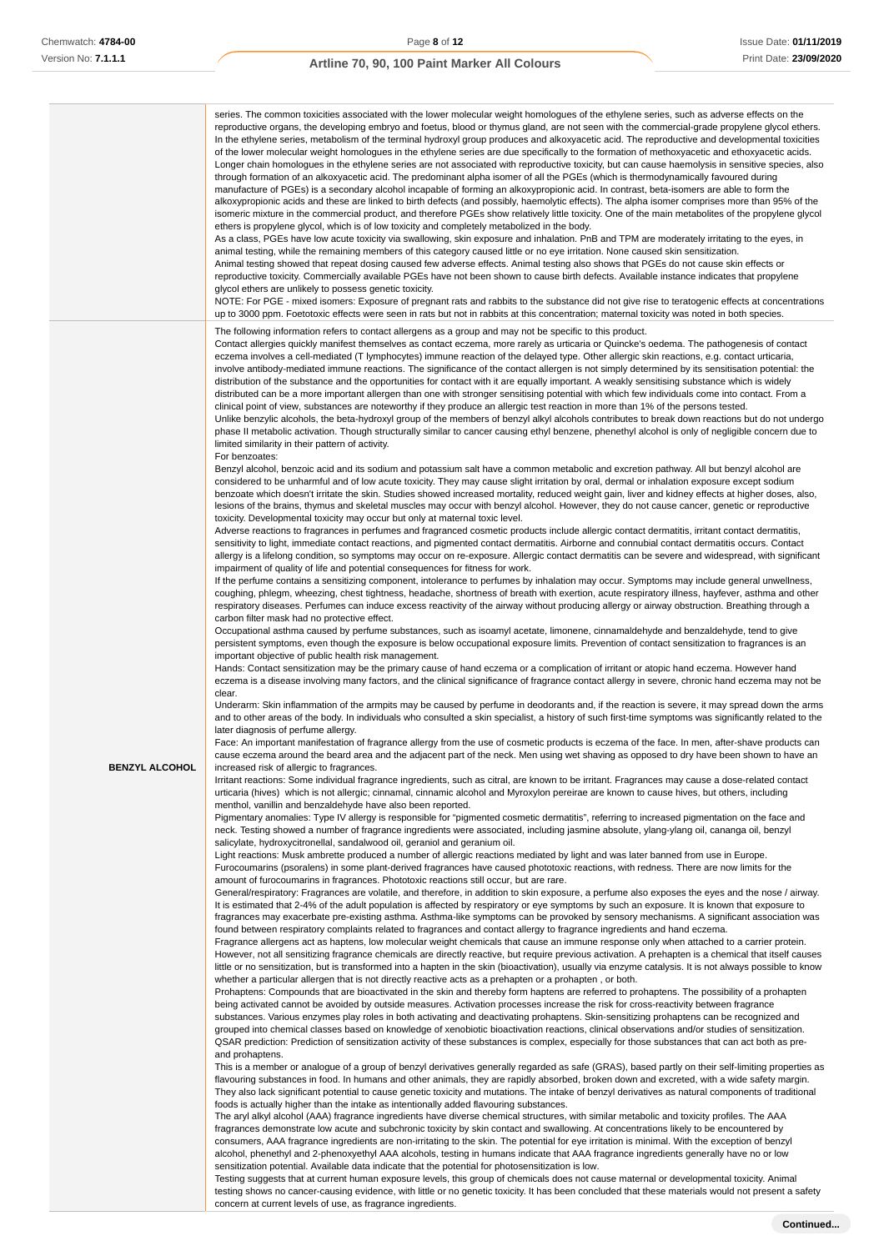|                       | series. The common toxicities associated with the lower molecular weight homologues of the ethylene series, such as adverse effects on the<br>reproductive organs, the developing embryo and foetus, blood or thymus gland, are not seen with the commercial-grade propylene glycol ethers.<br>In the ethylene series, metabolism of the terminal hydroxyl group produces and alkoxyacetic acid. The reproductive and developmental toxicities<br>of the lower molecular weight homologues in the ethylene series are due specifically to the formation of methoxyacetic and ethoxyacetic acids.<br>Longer chain homologues in the ethylene series are not associated with reproductive toxicity, but can cause haemolysis in sensitive species, also<br>through formation of an alkoxyacetic acid. The predominant alpha isomer of all the PGEs (which is thermodynamically favoured during<br>manufacture of PGEs) is a secondary alcohol incapable of forming an alkoxypropionic acid. In contrast, beta-isomers are able to form the<br>alkoxypropionic acids and these are linked to birth defects (and possibly, haemolytic effects). The alpha isomer comprises more than 95% of the<br>isomeric mixture in the commercial product, and therefore PGEs show relatively little toxicity. One of the main metabolites of the propylene glycol<br>ethers is propylene glycol, which is of low toxicity and completely metabolized in the body.<br>As a class, PGEs have low acute toxicity via swallowing, skin exposure and inhalation. PnB and TPM are moderately irritating to the eyes, in<br>animal testing, while the remaining members of this category caused little or no eye irritation. None caused skin sensitization.<br>Animal testing showed that repeat dosing caused few adverse effects. Animal testing also shows that PGEs do not cause skin effects or<br>reproductive toxicity. Commercially available PGEs have not been shown to cause birth defects. Available instance indicates that propylene<br>glycol ethers are unlikely to possess genetic toxicity.<br>NOTE: For PGE - mixed isomers: Exposure of pregnant rats and rabbits to the substance did not give rise to teratogenic effects at concentrations<br>up to 3000 ppm. Foetotoxic effects were seen in rats but not in rabbits at this concentration; maternal toxicity was noted in both species. |
|-----------------------|---------------------------------------------------------------------------------------------------------------------------------------------------------------------------------------------------------------------------------------------------------------------------------------------------------------------------------------------------------------------------------------------------------------------------------------------------------------------------------------------------------------------------------------------------------------------------------------------------------------------------------------------------------------------------------------------------------------------------------------------------------------------------------------------------------------------------------------------------------------------------------------------------------------------------------------------------------------------------------------------------------------------------------------------------------------------------------------------------------------------------------------------------------------------------------------------------------------------------------------------------------------------------------------------------------------------------------------------------------------------------------------------------------------------------------------------------------------------------------------------------------------------------------------------------------------------------------------------------------------------------------------------------------------------------------------------------------------------------------------------------------------------------------------------------------------------------------------------------------------------------------------------------------------------------------------------------------------------------------------------------------------------------------------------------------------------------------------------------------------------------------------------------------------------------------------------------------------------------------------------------------------------------------------------------------------------------------------------------------------------------------------------|
|                       | The following information refers to contact allergens as a group and may not be specific to this product.<br>Contact allergies quickly manifest themselves as contact eczema, more rarely as urticaria or Quincke's oedema. The pathogenesis of contact<br>eczema involves a cell-mediated (T lymphocytes) immune reaction of the delayed type. Other allergic skin reactions, e.g. contact urticaria,<br>involve antibody-mediated immune reactions. The significance of the contact allergen is not simply determined by its sensitisation potential: the<br>distribution of the substance and the opportunities for contact with it are equally important. A weakly sensitising substance which is widely<br>distributed can be a more important allergen than one with stronger sensitising potential with which few individuals come into contact. From a<br>clinical point of view, substances are noteworthy if they produce an allergic test reaction in more than 1% of the persons tested.<br>Unlike benzylic alcohols, the beta-hydroxyl group of the members of benzyl alkyl alcohols contributes to break down reactions but do not undergo<br>phase II metabolic activation. Though structurally similar to cancer causing ethyl benzene, phenethyl alcohol is only of negligible concern due to                                                                                                                                                                                                                                                                                                                                                                                                                                                                                                                                                                                                                                                                                                                                                                                                                                                                                                                                                                                                                                                                              |
|                       | limited similarity in their pattern of activity.<br>For benzoates:<br>Benzyl alcohol, benzoic acid and its sodium and potassium salt have a common metabolic and excretion pathway. All but benzyl alcohol are<br>considered to be unharmful and of low acute toxicity. They may cause slight irritation by oral, dermal or inhalation exposure except sodium<br>benzoate which doesn't irritate the skin. Studies showed increased mortality, reduced weight gain, liver and kidney effects at higher doses, also,<br>lesions of the brains, thymus and skeletal muscles may occur with benzyl alcohol. However, they do not cause cancer, genetic or reproductive<br>toxicity. Developmental toxicity may occur but only at maternal toxic level.<br>Adverse reactions to fragrances in perfumes and fragranced cosmetic products include allergic contact dermatitis, irritant contact dermatitis,<br>sensitivity to light, immediate contact reactions, and pigmented contact dermatitis. Airborne and connubial contact dermatitis occurs. Contact                                                                                                                                                                                                                                                                                                                                                                                                                                                                                                                                                                                                                                                                                                                                                                                                                                                                                                                                                                                                                                                                                                                                                                                                                                                                                                                                     |
|                       | allergy is a lifelong condition, so symptoms may occur on re-exposure. Allergic contact dermatitis can be severe and widespread, with significant<br>impairment of quality of life and potential consequences for fitness for work.<br>If the perfume contains a sensitizing component, intolerance to perfumes by inhalation may occur. Symptoms may include general unwellness,<br>coughing, phlegm, wheezing, chest tightness, headache, shortness of breath with exertion, acute respiratory illness, hayfever, asthma and other<br>respiratory diseases. Perfumes can induce excess reactivity of the airway without producing allergy or airway obstruction. Breathing through a<br>carbon filter mask had no protective effect.<br>Occupational asthma caused by perfume substances, such as isoamyl acetate, limonene, cinnamaldehyde and benzaldehyde, tend to give<br>persistent symptoms, even though the exposure is below occupational exposure limits. Prevention of contact sensitization to fragrances is an                                                                                                                                                                                                                                                                                                                                                                                                                                                                                                                                                                                                                                                                                                                                                                                                                                                                                                                                                                                                                                                                                                                                                                                                                                                                                                                                                                |
|                       | important objective of public health risk management.<br>Hands: Contact sensitization may be the primary cause of hand eczema or a complication of irritant or atopic hand eczema. However hand<br>eczema is a disease involving many factors, and the clinical significance of fragrance contact allergy in severe, chronic hand eczema may not be<br>clear.<br>Underarm: Skin inflammation of the armpits may be caused by perfume in deodorants and, if the reaction is severe, it may spread down the arms<br>and to other areas of the body. In individuals who consulted a skin specialist, a history of such first-time symptoms was significantly related to the                                                                                                                                                                                                                                                                                                                                                                                                                                                                                                                                                                                                                                                                                                                                                                                                                                                                                                                                                                                                                                                                                                                                                                                                                                                                                                                                                                                                                                                                                                                                                                                                                                                                                                                    |
|                       | later diagnosis of perfume allergy.<br>Face: An important manifestation of fragrance allergy from the use of cosmetic products is eczema of the face. In men, after-shave products can<br>cause eczema around the beard area and the adjacent part of the neck. Men using wet shaving as opposed to dry have been shown to have an                                                                                                                                                                                                                                                                                                                                                                                                                                                                                                                                                                                                                                                                                                                                                                                                                                                                                                                                                                                                                                                                                                                                                                                                                                                                                                                                                                                                                                                                                                                                                                                                                                                                                                                                                                                                                                                                                                                                                                                                                                                          |
| <b>BENZYL ALCOHOL</b> | increased risk of allergic to fragrances.<br>Irritant reactions: Some individual fragrance ingredients, such as citral, are known to be irritant. Fragrances may cause a dose-related contact                                                                                                                                                                                                                                                                                                                                                                                                                                                                                                                                                                                                                                                                                                                                                                                                                                                                                                                                                                                                                                                                                                                                                                                                                                                                                                                                                                                                                                                                                                                                                                                                                                                                                                                                                                                                                                                                                                                                                                                                                                                                                                                                                                                               |
|                       | urticaria (hives) which is not allergic; cinnamal, cinnamic alcohol and Myroxylon pereirae are known to cause hives, but others, including<br>menthol, vanillin and benzaldehyde have also been reported.<br>Pigmentary anomalies: Type IV allergy is responsible for "pigmented cosmetic dermatitis", referring to increased pigmentation on the face and                                                                                                                                                                                                                                                                                                                                                                                                                                                                                                                                                                                                                                                                                                                                                                                                                                                                                                                                                                                                                                                                                                                                                                                                                                                                                                                                                                                                                                                                                                                                                                                                                                                                                                                                                                                                                                                                                                                                                                                                                                  |
|                       | neck. Testing showed a number of fragrance ingredients were associated, including jasmine absolute, ylang-ylang oil, cananga oil, benzyl<br>salicylate, hydroxycitronellal, sandalwood oil, geraniol and geranium oil.<br>Light reactions: Musk ambrette produced a number of allergic reactions mediated by light and was later banned from use in Europe.<br>Furocoumarins (psoralens) in some plant-derived fragrances have caused phototoxic reactions, with redness. There are now limits for the<br>amount of furocoumarins in fragrances. Phototoxic reactions still occur, but are rare.                                                                                                                                                                                                                                                                                                                                                                                                                                                                                                                                                                                                                                                                                                                                                                                                                                                                                                                                                                                                                                                                                                                                                                                                                                                                                                                                                                                                                                                                                                                                                                                                                                                                                                                                                                                            |
|                       | General/respiratory: Fragrances are volatile, and therefore, in addition to skin exposure, a perfume also exposes the eyes and the nose / airway.<br>It is estimated that 2-4% of the adult population is affected by respiratory or eye symptoms by such an exposure. It is known that exposure to<br>fragrances may exacerbate pre-existing asthma. Asthma-like symptoms can be provoked by sensory mechanisms. A significant association was<br>found between respiratory complaints related to fragrances and contact allergy to fragrance ingredients and hand eczema.                                                                                                                                                                                                                                                                                                                                                                                                                                                                                                                                                                                                                                                                                                                                                                                                                                                                                                                                                                                                                                                                                                                                                                                                                                                                                                                                                                                                                                                                                                                                                                                                                                                                                                                                                                                                                 |
|                       | Fragrance allergens act as haptens, low molecular weight chemicals that cause an immune response only when attached to a carrier protein.<br>However, not all sensitizing fragrance chemicals are directly reactive, but require previous activation. A prehapten is a chemical that itself causes<br>little or no sensitization, but is transformed into a hapten in the skin (bioactivation), usually via enzyme catalysis. It is not always possible to know<br>whether a particular allergen that is not directly reactive acts as a prehapten or a prohapten, or both.                                                                                                                                                                                                                                                                                                                                                                                                                                                                                                                                                                                                                                                                                                                                                                                                                                                                                                                                                                                                                                                                                                                                                                                                                                                                                                                                                                                                                                                                                                                                                                                                                                                                                                                                                                                                                 |
|                       | Prohaptens: Compounds that are bioactivated in the skin and thereby form haptens are referred to prohaptens. The possibility of a prohapten<br>being activated cannot be avoided by outside measures. Activation processes increase the risk for cross-reactivity between fragrance<br>substances. Various enzymes play roles in both activating and deactivating prohaptens. Skin-sensitizing prohaptens can be recognized and<br>grouped into chemical classes based on knowledge of xenobiotic bioactivation reactions, clinical observations and/or studies of sensitization.<br>QSAR prediction: Prediction of sensitization activity of these substances is complex, especially for those substances that can act both as pre-<br>and prohaptens.                                                                                                                                                                                                                                                                                                                                                                                                                                                                                                                                                                                                                                                                                                                                                                                                                                                                                                                                                                                                                                                                                                                                                                                                                                                                                                                                                                                                                                                                                                                                                                                                                                     |
|                       | This is a member or analogue of a group of benzyl derivatives generally regarded as safe (GRAS), based partly on their self-limiting properties as<br>flavouring substances in food. In humans and other animals, they are rapidly absorbed, broken down and excreted, with a wide safety margin.<br>They also lack significant potential to cause genetic toxicity and mutations. The intake of benzyl derivatives as natural components of traditional<br>foods is actually higher than the intake as intentionally added flavouring substances.                                                                                                                                                                                                                                                                                                                                                                                                                                                                                                                                                                                                                                                                                                                                                                                                                                                                                                                                                                                                                                                                                                                                                                                                                                                                                                                                                                                                                                                                                                                                                                                                                                                                                                                                                                                                                                          |
|                       | The aryl alkyl alcohol (AAA) fragrance ingredients have diverse chemical structures, with similar metabolic and toxicity profiles. The AAA<br>fragrances demonstrate low acute and subchronic toxicity by skin contact and swallowing. At concentrations likely to be encountered by<br>consumers, AAA fragrance ingredients are non-irritating to the skin. The potential for eye irritation is minimal. With the exception of benzyl<br>alcohol, phenethyl and 2-phenoxyethyl AAA alcohols, testing in humans indicate that AAA fragrance ingredients generally have no or low                                                                                                                                                                                                                                                                                                                                                                                                                                                                                                                                                                                                                                                                                                                                                                                                                                                                                                                                                                                                                                                                                                                                                                                                                                                                                                                                                                                                                                                                                                                                                                                                                                                                                                                                                                                                            |
|                       | sensitization potential. Available data indicate that the potential for photosensitization is low.<br>Testing suggests that at current human exposure levels, this group of chemicals does not cause maternal or developmental toxicity. Animal<br>testing shows no cancer-causing evidence, with little or no genetic toxicity. It has been concluded that these materials would not present a safety                                                                                                                                                                                                                                                                                                                                                                                                                                                                                                                                                                                                                                                                                                                                                                                                                                                                                                                                                                                                                                                                                                                                                                                                                                                                                                                                                                                                                                                                                                                                                                                                                                                                                                                                                                                                                                                                                                                                                                                      |

concern at current levels of use, as fragrance ingredients.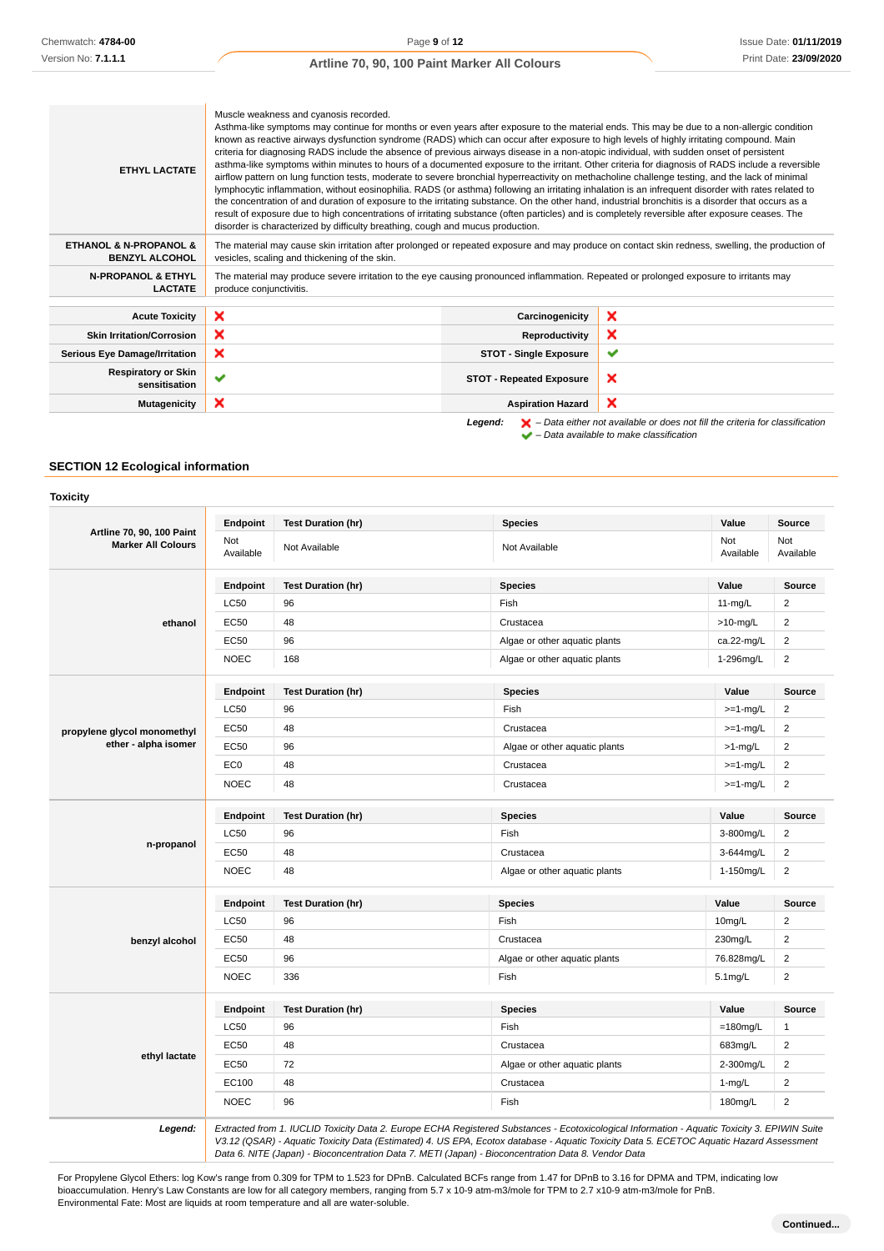| <b>ETHYL LACTATE</b>                                           | Muscle weakness and cyanosis recorded.<br>Asthma-like symptoms may continue for months or even years after exposure to the material ends. This may be due to a non-allergic condition<br>known as reactive airways dysfunction syndrome (RADS) which can occur after exposure to high levels of highly irritating compound. Main<br>criteria for diagnosing RADS include the absence of previous airways disease in a non-atopic individual, with sudden onset of persistent<br>asthma-like symptoms within minutes to hours of a documented exposure to the irritant. Other criteria for diagnosis of RADS include a reversible<br>airflow pattern on lung function tests, moderate to severe bronchial hyperreactivity on methacholine challenge testing, and the lack of minimal<br>lymphocytic inflammation, without eosinophilia. RADS (or asthma) following an irritating inhalation is an infrequent disorder with rates related to<br>the concentration of and duration of exposure to the irritating substance. On the other hand, industrial bronchitis is a disorder that occurs as a<br>result of exposure due to high concentrations of irritating substance (often particles) and is completely reversible after exposure ceases. The<br>disorder is characterized by difficulty breathing, cough and mucus production. |                                 |                                                                                                    |
|----------------------------------------------------------------|---------------------------------------------------------------------------------------------------------------------------------------------------------------------------------------------------------------------------------------------------------------------------------------------------------------------------------------------------------------------------------------------------------------------------------------------------------------------------------------------------------------------------------------------------------------------------------------------------------------------------------------------------------------------------------------------------------------------------------------------------------------------------------------------------------------------------------------------------------------------------------------------------------------------------------------------------------------------------------------------------------------------------------------------------------------------------------------------------------------------------------------------------------------------------------------------------------------------------------------------------------------------------------------------------------------------------------------|---------------------------------|----------------------------------------------------------------------------------------------------|
| <b>ETHANOL &amp; N-PROPANOL &amp;</b><br><b>BENZYL ALCOHOL</b> | The material may cause skin irritation after prolonged or repeated exposure and may produce on contact skin redness, swelling, the production of<br>vesicles, scaling and thickening of the skin.                                                                                                                                                                                                                                                                                                                                                                                                                                                                                                                                                                                                                                                                                                                                                                                                                                                                                                                                                                                                                                                                                                                                     |                                 |                                                                                                    |
| <b>N-PROPANOL &amp; ETHYL</b><br><b>LACTATE</b>                | The material may produce severe irritation to the eye causing pronounced inflammation. Repeated or prolonged exposure to irritants may<br>produce conjunctivitis.                                                                                                                                                                                                                                                                                                                                                                                                                                                                                                                                                                                                                                                                                                                                                                                                                                                                                                                                                                                                                                                                                                                                                                     |                                 |                                                                                                    |
| <b>Acute Toxicity</b>                                          | ×                                                                                                                                                                                                                                                                                                                                                                                                                                                                                                                                                                                                                                                                                                                                                                                                                                                                                                                                                                                                                                                                                                                                                                                                                                                                                                                                     | Carcinogenicity                 | ×                                                                                                  |
| <b>Skin Irritation/Corrosion</b>                               | ×                                                                                                                                                                                                                                                                                                                                                                                                                                                                                                                                                                                                                                                                                                                                                                                                                                                                                                                                                                                                                                                                                                                                                                                                                                                                                                                                     | Reproductivity                  | ×                                                                                                  |
| <b>Serious Eye Damage/Irritation</b>                           | ×<br>✔<br><b>STOT - Single Exposure</b>                                                                                                                                                                                                                                                                                                                                                                                                                                                                                                                                                                                                                                                                                                                                                                                                                                                                                                                                                                                                                                                                                                                                                                                                                                                                                               |                                 |                                                                                                    |
| <b>Respiratory or Skin</b><br>sensitisation                    | ✔                                                                                                                                                                                                                                                                                                                                                                                                                                                                                                                                                                                                                                                                                                                                                                                                                                                                                                                                                                                                                                                                                                                                                                                                                                                                                                                                     | <b>STOT - Repeated Exposure</b> | ×                                                                                                  |
| <b>Mutagenicity</b>                                            | ×<br>×<br><b>Aspiration Hazard</b>                                                                                                                                                                                                                                                                                                                                                                                                                                                                                                                                                                                                                                                                                                                                                                                                                                                                                                                                                                                                                                                                                                                                                                                                                                                                                                    |                                 |                                                                                                    |
|                                                                |                                                                                                                                                                                                                                                                                                                                                                                                                                                                                                                                                                                                                                                                                                                                                                                                                                                                                                                                                                                                                                                                                                                                                                                                                                                                                                                                       | Legend:                         | $\blacktriangleright$ - Data either not available or does not fill the criteria for classification |

 $\blacktriangleright$  – Data either not available or does not<br> $\blacktriangleright$  – Data available to make classification

## **SECTION 12 Ecological information**

#### **Toxicity**

|                                                               | Endpoint         | <b>Test Duration (hr)</b> | <b>Species</b>                | Value            | Source                  |
|---------------------------------------------------------------|------------------|---------------------------|-------------------------------|------------------|-------------------------|
| <b>Artline 70, 90, 100 Paint</b><br><b>Marker All Colours</b> | Not<br>Available | Not Available             | Not Available                 | Not<br>Available | Not<br>Available        |
|                                                               | Endpoint         | <b>Test Duration (hr)</b> | <b>Species</b>                | Value            | Source                  |
|                                                               | <b>LC50</b>      | 96                        | Fish                          | $11-mg/L$        | $\overline{2}$          |
| ethanol                                                       | EC50             | 48                        | Crustacea                     | $>10$ -mg/L      | $\overline{\mathbf{c}}$ |
|                                                               | <b>EC50</b>      | 96                        | Algae or other aquatic plants | ca.22-mg/L       | $\overline{\mathbf{c}}$ |
|                                                               | <b>NOEC</b>      | 168                       | Algae or other aquatic plants | 1-296mg/L        | $\boldsymbol{2}$        |
|                                                               | Endpoint         | <b>Test Duration (hr)</b> | <b>Species</b>                | Value            | Source                  |
|                                                               | <b>LC50</b>      | 96                        | Fish                          | $>=1-mg/L$       | $\overline{\mathbf{c}}$ |
| propylene glycol monomethyl                                   | <b>EC50</b>      | 48                        | Crustacea                     | $>=1-mg/L$       | $\overline{2}$          |
| ether - alpha isomer                                          | <b>EC50</b>      | 96                        | Algae or other aquatic plants | $>1$ -mg/L       | $\overline{2}$          |
|                                                               | EC <sub>0</sub>  | 48                        | Crustacea                     | $>=1-mg/L$       | $\overline{\mathbf{c}}$ |
|                                                               | <b>NOEC</b>      | 48                        | Crustacea                     | $>=1-mg/L$       | $\boldsymbol{2}$        |
|                                                               | Endpoint         | <b>Test Duration (hr)</b> | <b>Species</b>                | Value            | <b>Source</b>           |
|                                                               | LC50             | 96                        | Fish                          | 3-800mg/L        | $\overline{\mathbf{c}}$ |
| n-propanol                                                    | EC50             | 48                        | Crustacea                     | 3-644mg/L        | $\overline{c}$          |
|                                                               | <b>NOEC</b>      | 48                        | Algae or other aquatic plants | 1-150mg/L        | $\overline{2}$          |
|                                                               | Endpoint         | <b>Test Duration (hr)</b> | <b>Species</b>                | Value            | Source                  |
|                                                               | <b>LC50</b>      | 96                        | Fish                          | 10mg/L           | $\overline{\mathbf{c}}$ |
| benzyl alcohol                                                | EC50             | 48                        | Crustacea                     | 230mg/L          | $\overline{\mathbf{c}}$ |
|                                                               | <b>EC50</b>      | 96                        | Algae or other aquatic plants | 76.828mg/L       | $\boldsymbol{2}$        |
|                                                               | <b>NOEC</b>      | 336                       | Fish                          | 5.1mg/L          | $\overline{\mathbf{c}}$ |
|                                                               | Endpoint         | <b>Test Duration (hr)</b> | <b>Species</b>                | Value            | Source                  |
|                                                               | <b>LC50</b>      | 96                        | Fish                          | $=180$ mg/L      | 1                       |
|                                                               | <b>EC50</b>      | 48                        | Crustacea                     | 683mg/L          | $\overline{2}$          |
| ethyl lactate                                                 | EC50             | 72                        | Algae or other aquatic plants | 2-300mg/L        | $\overline{c}$          |
|                                                               |                  |                           |                               | $1-mg/L$         | $\overline{c}$          |
|                                                               | EC100            | 48                        | Crustacea                     |                  |                         |

Data 6. NITE (Japan) - Bioconcentration Data 7. METI (Japan) - Bioconcentration Data 8. Vendor Data

For Propylene Glycol Ethers: log Kow's range from 0.309 for TPM to 1.523 for DPnB. Calculated BCFs range from 1.47 for DPnB to 3.16 for DPMA and TPM, indicating low bioaccumulation. Henry's Law Constants are low for all category members, ranging from 5.7 x 10-9 atm-m3/mole for TPM to 2.7 x10-9 atm-m3/mole for PnB. Environmental Fate: Most are liquids at room temperature and all are water-soluble.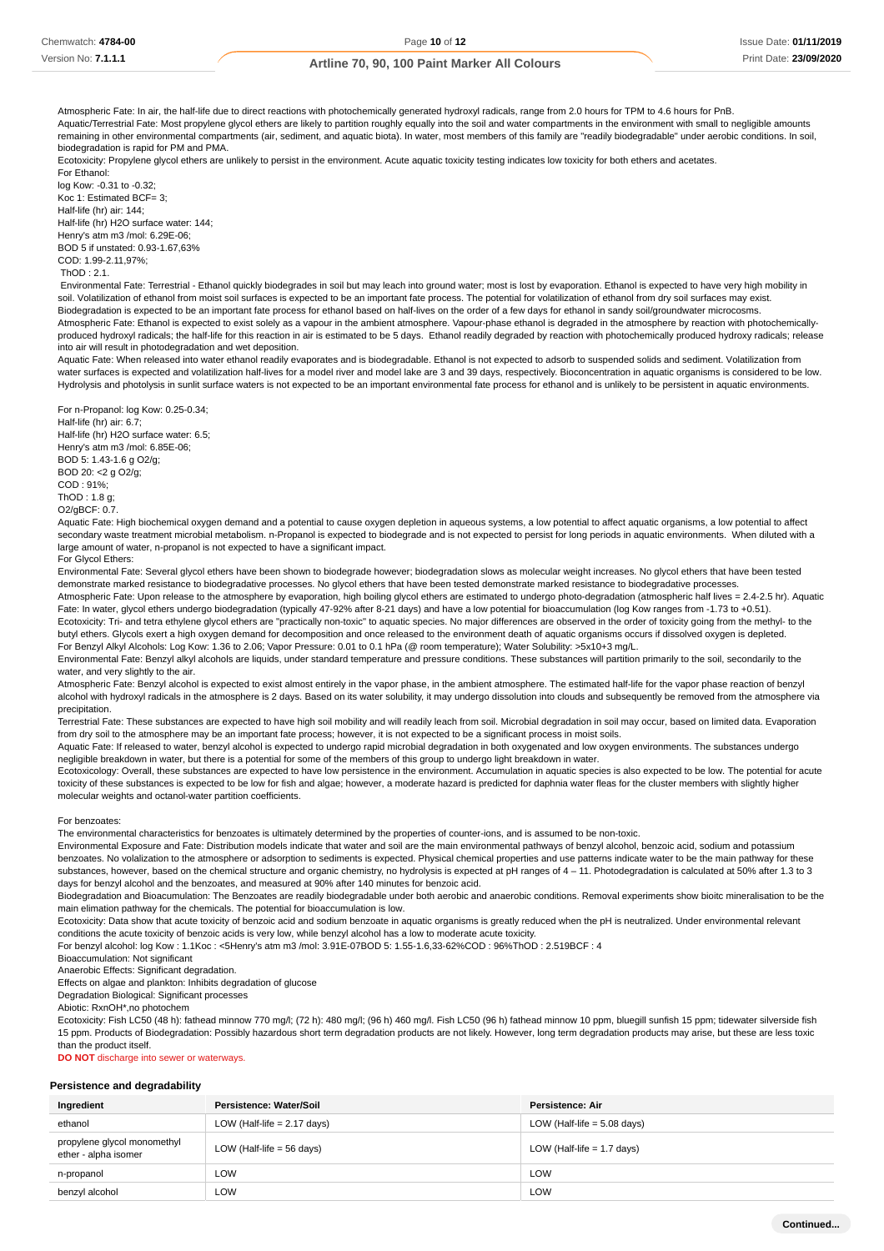Atmospheric Fate: In air, the half-life due to direct reactions with photochemically generated hydroxyl radicals, range from 2.0 hours for TPM to 4.6 hours for PnB. Aquatic/Terrestrial Fate: Most propylene glycol ethers are likely to partition roughly equally into the soil and water compartments in the environment with small to negligible amounts remaining in other environmental compartments (air, sediment, and aquatic biota). In water, most members of this family are "readily biodegradable" under aerobic conditions. In soil, biodegradation is rapid for PM and PMA.

Ecotoxicity: Propylene glycol ethers are unlikely to persist in the environment. Acute aquatic toxicity testing indicates low toxicity for both ethers and acetates. For Ethanol:

log Kow: -0.31 to -0.32; Koc 1: Estimated BCF= 3; Half-life (hr) air: 144; Half-life (hr) H2O surface water: 144; Henry's atm m3 /mol: 6.29E-06; BOD 5 if unstated: 0.93-1.67,63% COD: 1.99-2.11,97%;  $ThOD: 2.1$ 

 Environmental Fate: Terrestrial - Ethanol quickly biodegrades in soil but may leach into ground water; most is lost by evaporation. Ethanol is expected to have very high mobility in soil. Volatilization of ethanol from moist soil surfaces is expected to be an important fate process. The potential for volatilization of ethanol from dry soil surfaces may exist. Biodegradation is expected to be an important fate process for ethanol based on half-lives on the order of a few days for ethanol in sandy soil/groundwater microcosms Atmospheric Fate: Ethanol is expected to exist solely as a vapour in the ambient atmosphere. Vapour-phase ethanol is degraded in the atmosphere by reaction with photochemicallyproduced hydroxyl radicals; the half-life for this reaction in air is estimated to be 5 days. Ethanol readily degraded by reaction with photochemically produced hydroxy radicals; release into air will result in photodegradation and wet deposition.

Aquatic Fate: When released into water ethanol readily evaporates and is biodegradable. Ethanol is not expected to adsorb to suspended solids and sediment. Volatilization from water surfaces is expected and volatilization half-lives for a model river and model lake are 3 and 39 days, respectively. Bioconcentration in aquatic organisms is considered to be low. Hydrolysis and photolysis in sunlit surface waters is not expected to be an important environmental fate process for ethanol and is unlikely to be persistent in aquatic environments.

For n-Propanol: log Kow: 0.25-0.34; Half-life (hr) air: 6.7; Half-life (hr) H2O surface water: 6.5; Henry's atm m3 /mol: 6.85E-06; BOD 5: 1.43-1.6 g O2/g; BOD 20: <2 g O2/g; COD : 91%; ThOD : 1.8 g; O2/gBCF: 0.7.

Aquatic Fate: High biochemical oxygen demand and a potential to cause oxygen depletion in aqueous systems, a low potential to affect aquatic organisms, a low potential to affect secondary waste treatment microbial metabolism. n-Propanol is expected to biodegrade and is not expected to persist for long periods in aguatic environments. When diluted with a large amount of water, n-propanol is not expected to have a significant impact. For Glycol Ethers:

Environmental Fate: Several glycol ethers have been shown to biodegrade however; biodegradation slows as molecular weight increases. No glycol ethers that have been tested demonstrate marked resistance to biodegradative processes. No glycol ethers that have been tested demonstrate marked resistance to biodegradative processes.

Atmospheric Fate: Upon release to the atmosphere by evaporation, high boiling glycol ethers are estimated to undergo photo-degradation (atmospheric half lives = 2.4-2.5 hr). Aquatic Fate: In water, glycol ethers undergo biodegradation (typically 47-92% after 8-21 days) and have a low potential for bioaccumulation (log Kow ranges from -1.73 to +0.51). Ecotoxicity: Tri- and tetra ethylene glycol ethers are "practically non-toxic" to aquatic species. No major differences are observed in the order of toxicity going from the methyl- to the

butyl ethers. Glycols exert a high oxygen demand for decomposition and once released to the environment death of aquatic organisms occurs if dissolved oxygen is depleted. For Benzyl Alkyl Alcohols: Log Kow: 1.36 to 2.06; Vapor Pressure: 0.01 to 0.1 hPa (@ room temperature); Water Solubility: >5x10+3 mg/L.

Environmental Fate: Benzyl alkyl alcohols are liquids, under standard temperature and pressure conditions. These substances will partition primarily to the soil, secondarily to the water, and very slightly to the air.

Atmospheric Fate: Benzyl alcohol is expected to exist almost entirely in the vapor phase, in the ambient atmosphere. The estimated half-life for the vapor phase reaction of benzyl alcohol with hydroxyl radicals in the atmosphere is 2 days. Based on its water solubility, it may undergo dissolution into clouds and subsequently be removed from the atmosphere via precipitation.

Terrestrial Fate: These substances are expected to have high soil mobility and will readily leach from soil. Microbial degradation in soil may occur, based on limited data. Evaporation from dry soil to the atmosphere may be an important fate process; however, it is not expected to be a significant process in moist soils.

Aquatic Fate: If released to water, benzyl alcohol is expected to undergo rapid microbial degradation in both oxygenated and low oxygen environments. The substances undergo negligible breakdown in water, but there is a potential for some of the members of this group to undergo light breakdown in water.

Ecotoxicology: Overall, these substances are expected to have low persistence in the environment. Accumulation in aquatic species is also expected to be low. The potential for acute toxicity of these substances is expected to be low for fish and algae; however, a moderate hazard is predicted for daphnia water fleas for the cluster members with slightly higher molecular weights and octanol-water partition coefficients.

#### For benzoates:

The environmental characteristics for benzoates is ultimately determined by the properties of counter-ions, and is assumed to be non-toxic.

Environmental Exposure and Fate: Distribution models indicate that water and soil are the main environmental pathways of benzyl alcohol, benzoic acid, sodium and potassium benzoates. No volalization to the atmosphere or adsorption to sediments is expected. Physical chemical properties and use patterns indicate water to be the main pathway for these substances, however, based on the chemical structure and organic chemistry, no hydrolysis is expected at pH ranges of 4 - 11. Photodegradation is calculated at 50% after 1.3 to 3 days for benzyl alcohol and the benzoates, and measured at 90% after 140 minutes for benzoic acid.

Biodegradation and Bioacumulation: The Benzoates are readily biodegradable under both aerobic and anaerobic conditions. Removal experiments show bioitc mineralisation to be the main elimation pathway for the chemicals. The potential for bioaccumulation is low.

Ecotoxicity: Data show that acute toxicity of benzoic acid and sodium benzoate in aquatic organisms is greatly reduced when the pH is neutralized. Under environmental relevant conditions the acute toxicity of benzoic acids is very low, while benzyl alcohol has a low to moderate acute toxicity.

For benzyl alcohol: log Kow : 1.1Koc : <5Henry's atm m3 /mol: 3.91E-07BOD 5: 1.55-1.6,33-62%COD : 96%ThOD : 2.519BCF : 4

Bioaccumulation: Not significant

Anaerobic Effects: Significant degradation.

Effects on algae and plankton: Inhibits degradation of glucose

Degradation Biological: Significant processes

Abiotic: RxnOH\*,no photochem

Ecotoxicity: Fish LC50 (48 h): fathead minnow 770 mg/l; (72 h): 480 mg/l; (96 h) 460 mg/l. Fish LC50 (96 h) fathead minnow 10 ppm, bluegill sunfish 15 ppm; tidewater silverside fish 15 ppm. Products of Biodegradation: Possibly hazardous short term degradation products are not likely. However, long term degradation products may arise, but these are less toxic than the product itself.

**DO NOT** discharge into sewer or waterways

#### **Persistence and degradability**

| Ingredient                                          | Persistence: Water/Soil       | <b>Persistence: Air</b>       |
|-----------------------------------------------------|-------------------------------|-------------------------------|
| ethanol                                             | LOW (Half-life $= 2.17$ days) | LOW (Half-life $= 5.08$ days) |
| propylene glycol monomethyl<br>ether - alpha isomer | LOW (Half-life $=$ 56 days)   | LOW (Half-life $= 1.7$ days)  |
| n-propanol                                          | LOW                           | LOW                           |
| benzyl alcohol                                      | LOW                           | LOW                           |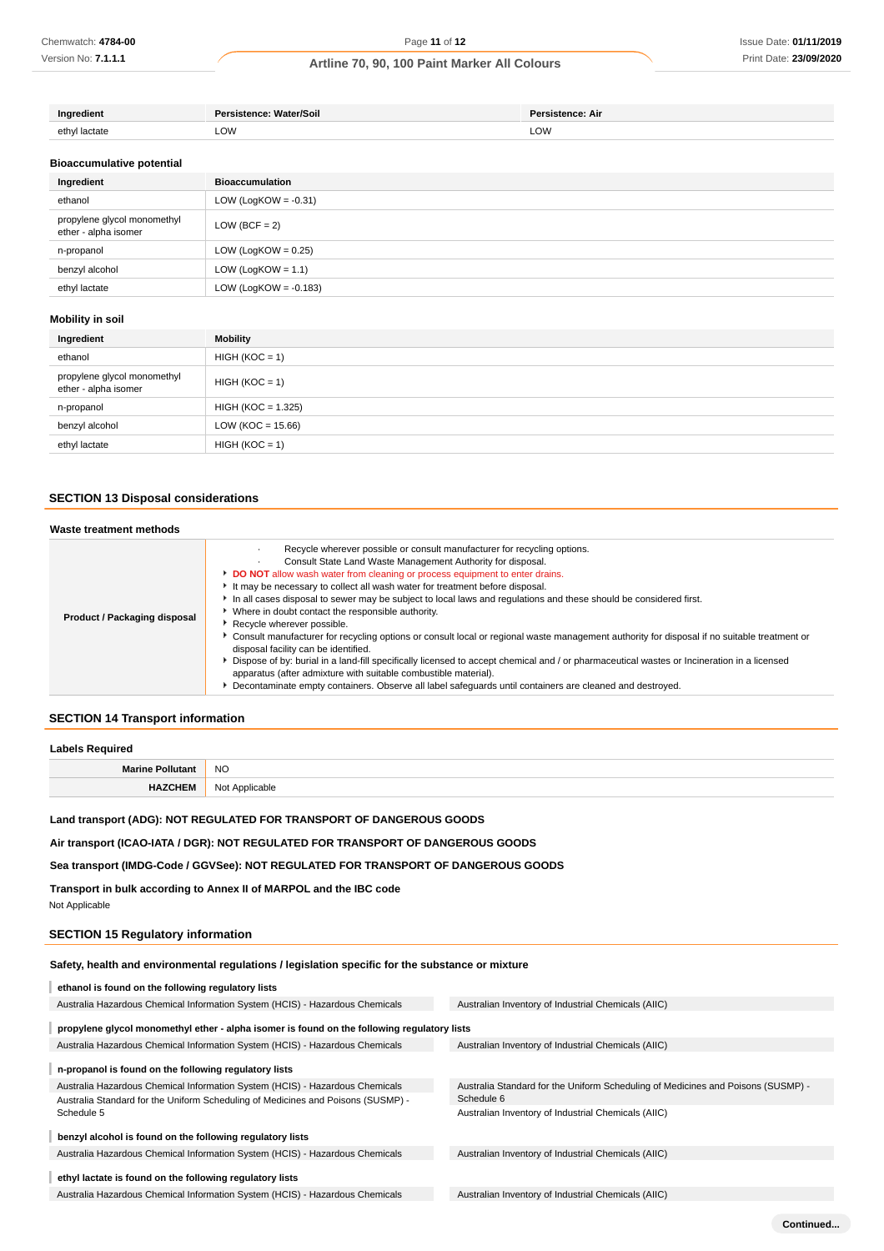| Dar.<br>Water/Soil<br>$-$ - $n$ $n$ $n$ $n$ $n$ $n$ | : All |
|-----------------------------------------------------|-------|
| LOW                                                 | LOW   |

#### **Bioaccumulative potential**

| Ingredient                                          | <b>Bioaccumulation</b>   |
|-----------------------------------------------------|--------------------------|
| ethanol                                             | LOW (LogKOW = $-0.31$ )  |
| propylene glycol monomethyl<br>ether - alpha isomer | $LOW (BCF = 2)$          |
| n-propanol                                          | LOW (LogKOW = $0.25$ )   |
| benzyl alcohol                                      | LOW (LogKOW = $1.1$ )    |
| ethyl lactate                                       | LOW (LogKOW = $-0.183$ ) |

## **Mobility in soil**

| Ingredient                                          | Mobility             |
|-----------------------------------------------------|----------------------|
| ethanol                                             | $HIGH (KOC = 1)$     |
| propylene glycol monomethyl<br>ether - alpha isomer | $HIGH (KOC = 1)$     |
| n-propanol                                          | $HIGH (KOC = 1.325)$ |
| benzyl alcohol                                      | $LOW (KOC = 15.66)$  |
| ethyl lactate                                       | $HIGH (KOC = 1)$     |

### **SECTION 13 Disposal considerations**

#### **Waste treatment methods**

| Product / Packaging disposal | Recycle wherever possible or consult manufacturer for recycling options.<br>Consult State Land Waste Management Authority for disposal.<br><b>DO NOT</b> allow wash water from cleaning or process equipment to enter drains.<br>It may be necessary to collect all wash water for treatment before disposal.<br>In all cases disposal to sewer may be subject to local laws and regulations and these should be considered first.<br>Where in doubt contact the responsible authority.<br>Recycle wherever possible.<br>Consult manufacturer for recycling options or consult local or regional waste management authority for disposal if no suitable treatment or<br>disposal facility can be identified.<br>▶ Dispose of by: burial in a land-fill specifically licensed to accept chemical and / or pharmaceutical wastes or Incineration in a licensed<br>apparatus (after admixture with suitable combustible material).<br>Decontaminate empty containers. Observe all label safeguards until containers are cleaned and destroyed. |
|------------------------------|---------------------------------------------------------------------------------------------------------------------------------------------------------------------------------------------------------------------------------------------------------------------------------------------------------------------------------------------------------------------------------------------------------------------------------------------------------------------------------------------------------------------------------------------------------------------------------------------------------------------------------------------------------------------------------------------------------------------------------------------------------------------------------------------------------------------------------------------------------------------------------------------------------------------------------------------------------------------------------------------------------------------------------------------|

## **SECTION 14 Transport information**

#### **Labels Required**

| <b>Marine Pollutant</b> | <b>NO</b>      |
|-------------------------|----------------|
| <b>HAZCHEM</b>          | Not Applicable |

### **Land transport (ADG): NOT REGULATED FOR TRANSPORT OF DANGEROUS GOODS**

**Air transport (ICAO-IATA / DGR): NOT REGULATED FOR TRANSPORT OF DANGEROUS GOODS**

### **Sea transport (IMDG-Code / GGVSee): NOT REGULATED FOR TRANSPORT OF DANGEROUS GOODS**

**Transport in bulk according to Annex II of MARPOL and the IBC code**

Not Applicable

## **SECTION 15 Regulatory information**

### **Safety, health and environmental regulations / legislation specific for the substance or mixture**

| ethanol is found on the following regulatory lists                                          |                                                                                  |
|---------------------------------------------------------------------------------------------|----------------------------------------------------------------------------------|
| Australia Hazardous Chemical Information System (HCIS) - Hazardous Chemicals                | Australian Inventory of Industrial Chemicals (AIIC)                              |
| propylene glycol monomethyl ether - alpha isomer is found on the following regulatory lists |                                                                                  |
| Australia Hazardous Chemical Information System (HCIS) - Hazardous Chemicals                | Australian Inventory of Industrial Chemicals (AIIC)                              |
| n-propanol is found on the following regulatory lists                                       |                                                                                  |
| Australia Hazardous Chemical Information System (HCIS) - Hazardous Chemicals                | Australia Standard for the Uniform Scheduling of Medicines and Poisons (SUSMP) - |
| Australia Standard for the Uniform Scheduling of Medicines and Poisons (SUSMP) -            | Schedule 6                                                                       |
| Schedule 5                                                                                  | Australian Inventory of Industrial Chemicals (AIIC)                              |
| benzyl alcohol is found on the following regulatory lists                                   |                                                                                  |
| Australia Hazardous Chemical Information System (HCIS) - Hazardous Chemicals                | Australian Inventory of Industrial Chemicals (AIIC)                              |
| ethyl lactate is found on the following regulatory lists                                    |                                                                                  |
| Australia Hazardous Chemical Information System (HCIS) - Hazardous Chemicals                | Australian Inventory of Industrial Chemicals (AIIC)                              |